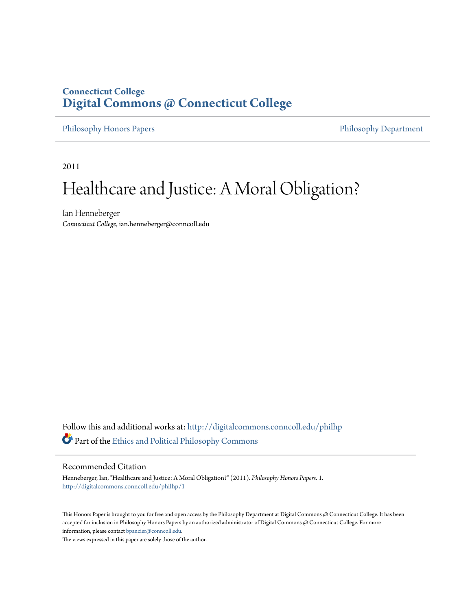## **Connecticut College [Digital Commons @ Connecticut College](http://digitalcommons.conncoll.edu?utm_source=digitalcommons.conncoll.edu%2Fphilhp%2F1&utm_medium=PDF&utm_campaign=PDFCoverPages)**

[Philosophy Honors Papers](http://digitalcommons.conncoll.edu/philhp?utm_source=digitalcommons.conncoll.edu%2Fphilhp%2F1&utm_medium=PDF&utm_campaign=PDFCoverPages) **[Philosophy Department](http://digitalcommons.conncoll.edu/philosophy?utm_source=digitalcommons.conncoll.edu%2Fphilhp%2F1&utm_medium=PDF&utm_campaign=PDFCoverPages)** 

2011

# Healthcare and Justice: A Moral Obligation?

Ian Henneberger *Connecticut College*, ian.henneberger@conncoll.edu

Follow this and additional works at: [http://digitalcommons.conncoll.edu/philhp](http://digitalcommons.conncoll.edu/philhp?utm_source=digitalcommons.conncoll.edu%2Fphilhp%2F1&utm_medium=PDF&utm_campaign=PDFCoverPages) Part of the [Ethics and Political Philosophy Commons](http://network.bepress.com/hgg/discipline/529?utm_source=digitalcommons.conncoll.edu%2Fphilhp%2F1&utm_medium=PDF&utm_campaign=PDFCoverPages)

#### Recommended Citation

Henneberger, Ian, "Healthcare and Justice: A Moral Obligation?" (2011). *Philosophy Honors Papers*. 1. [http://digitalcommons.conncoll.edu/philhp/1](http://digitalcommons.conncoll.edu/philhp/1?utm_source=digitalcommons.conncoll.edu%2Fphilhp%2F1&utm_medium=PDF&utm_campaign=PDFCoverPages)

This Honors Paper is brought to you for free and open access by the Philosophy Department at Digital Commons @ Connecticut College. It has been accepted for inclusion in Philosophy Honors Papers by an authorized administrator of Digital Commons @ Connecticut College. For more information, please contact [bpancier@conncoll.edu](mailto:bpancier@conncoll.edu).

The views expressed in this paper are solely those of the author.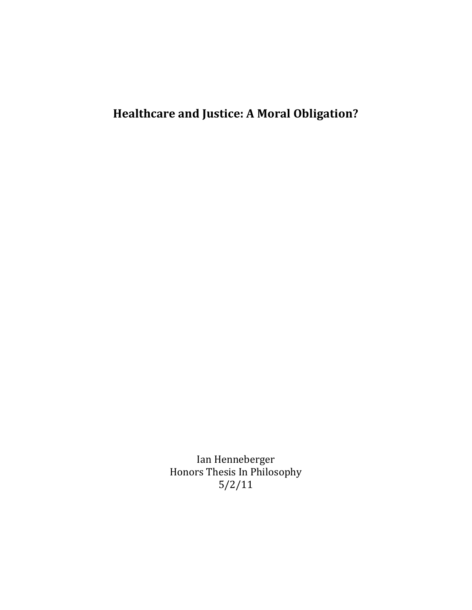## Healthcare and Justice: A Moral Obligation?

Ian Henneberger Honors Thesis In Philosophy 5/2/11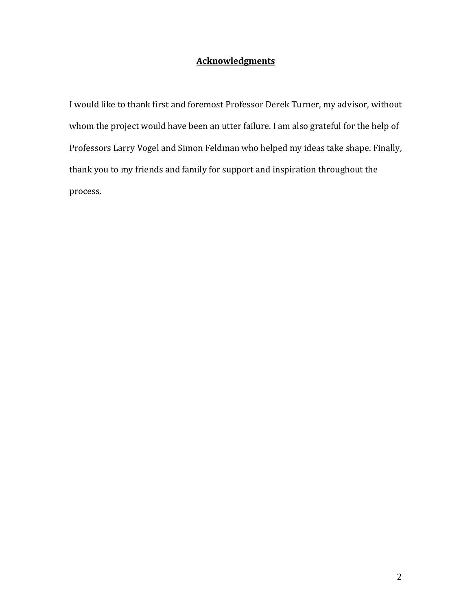## **Acknowledgments**

I would like to thank first and foremost Professor Derek Turner, my advisor, without whom the project would have been an utter failure. I am also grateful for the help of Professors Larry Vogel and Simon Feldman who helped my ideas take shape. Finally, thank you to my friends and family for support and inspiration throughout the process.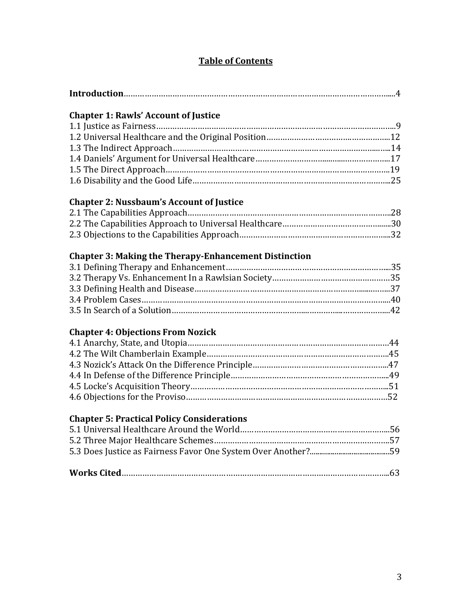## Table of Contents

|--|

## Chapter 1: Rawls' Account of Justice

## Chapter 2: Nussbaum's Account of Justice

## Chapter 3: Making the Therapy-Enhancement Distinction

## Chapter 4: Objections From Nozick

## Chapter 5: Practical Policy Considerations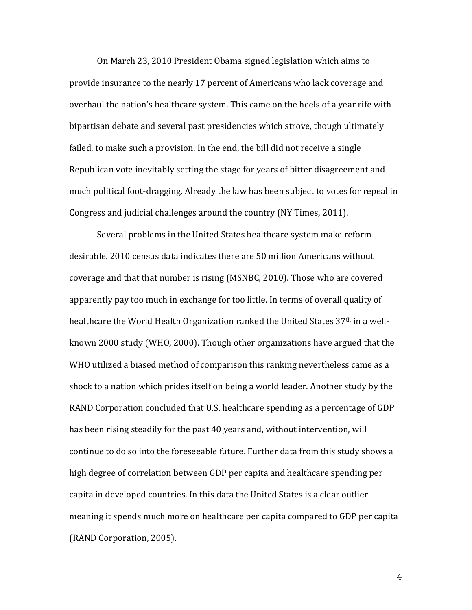On March 23, 2010 President Obama signed legislation which aims to provide insurance to the nearly 17 percent of Americans who lack coverage and overhaul the nation's healthcare system. This came on the heels of a year rife with bipartisan debate and several past presidencies which strove, though ultimately failed, to make such a provision. In the end, the bill did not receive a single Republican vote inevitably setting the stage for years of bitter disagreement and much political foot-dragging. Already the law has been subject to votes for repeal in Congress and judicial challenges around the country (NY Times, 2011).

 Several problems in the United States healthcare system make reform desirable. 2010 census data indicates there are 50 million Americans without coverage and that that number is rising (MSNBC, 2010). Those who are covered apparently pay too much in exchange for too little. In terms of overall quality of healthcare the World Health Organization ranked the United States 37<sup>th</sup> in a wellknown 2000 study (WHO, 2000). Though other organizations have argued that the WHO utilized a biased method of comparison this ranking nevertheless came as a shock to a nation which prides itself on being a world leader. Another study by the RAND Corporation concluded that U.S. healthcare spending as a percentage of GDP has been rising steadily for the past 40 years and, without intervention, will continue to do so into the foreseeable future. Further data from this study shows a high degree of correlation between GDP per capita and healthcare spending per capita in developed countries. In this data the United States is a clear outlier meaning it spends much more on healthcare per capita compared to GDP per capita (RAND Corporation, 2005).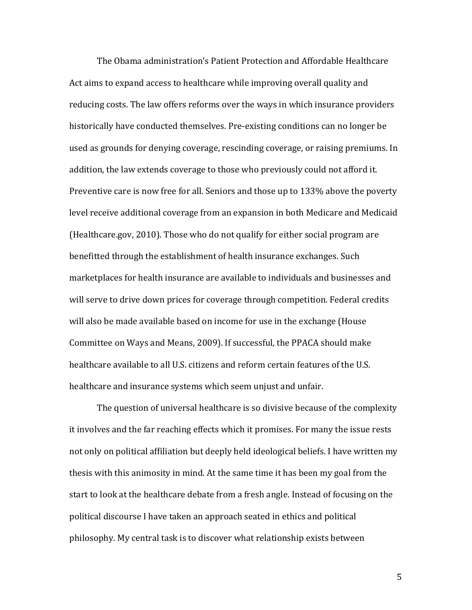The Obama administration's Patient Protection and Affordable Healthcare Act aims to expand access to healthcare while improving overall quality and reducing costs. The law offers reforms over the ways in which insurance providers historically have conducted themselves. Pre-existing conditions can no longer be used as grounds for denying coverage, rescinding coverage, or raising premiums. In addition, the law extends coverage to those who previously could not afford it. Preventive care is now free for all. Seniors and those up to 133% above the poverty level receive additional coverage from an expansion in both Medicare and Medicaid (Healthcare.gov, 2010). Those who do not qualify for either social program are benefitted through the establishment of health insurance exchanges. Such marketplaces for health insurance are available to individuals and businesses and will serve to drive down prices for coverage through competition. Federal credits will also be made available based on income for use in the exchange (House Committee on Ways and Means, 2009). If successful, the PPACA should make healthcare available to all U.S. citizens and reform certain features of the U.S. healthcare and insurance systems which seem unjust and unfair.

The question of universal healthcare is so divisive because of the complexity it involves and the far reaching effects which it promises. For many the issue rests not only on political affiliation but deeply held ideological beliefs. I have written my thesis with this animosity in mind. At the same time it has been my goal from the start to look at the healthcare debate from a fresh angle. Instead of focusing on the political discourse I have taken an approach seated in ethics and political philosophy. My central task is to discover what relationship exists between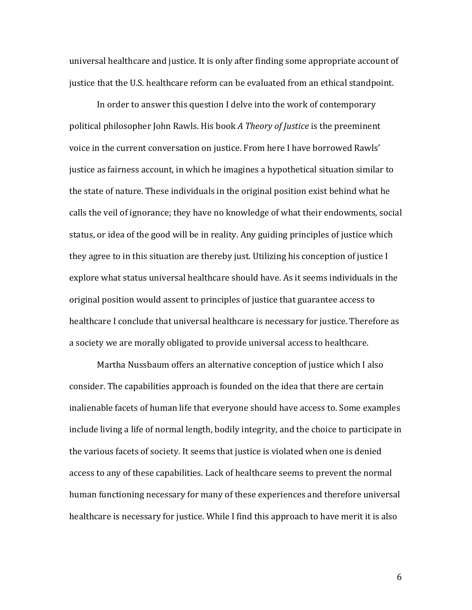universal healthcare and justice. It is only after finding some appropriate account of justice that the U.S. healthcare reform can be evaluated from an ethical standpoint.

 In order to answer this question I delve into the work of contemporary political philosopher John Rawls. His book A Theory of Justice is the preeminent voice in the current conversation on justice. From here I have borrowed Rawls' justice as fairness account, in which he imagines a hypothetical situation similar to the state of nature. These individuals in the original position exist behind what he calls the veil of ignorance; they have no knowledge of what their endowments, social status, or idea of the good will be in reality. Any guiding principles of justice which they agree to in this situation are thereby just. Utilizing his conception of justice I explore what status universal healthcare should have. As it seems individuals in the original position would assent to principles of justice that guarantee access to healthcare I conclude that universal healthcare is necessary for justice. Therefore as a society we are morally obligated to provide universal access to healthcare.

 Martha Nussbaum offers an alternative conception of justice which I also consider. The capabilities approach is founded on the idea that there are certain inalienable facets of human life that everyone should have access to. Some examples include living a life of normal length, bodily integrity, and the choice to participate in the various facets of society. It seems that justice is violated when one is denied access to any of these capabilities. Lack of healthcare seems to prevent the normal human functioning necessary for many of these experiences and therefore universal healthcare is necessary for justice. While I find this approach to have merit it is also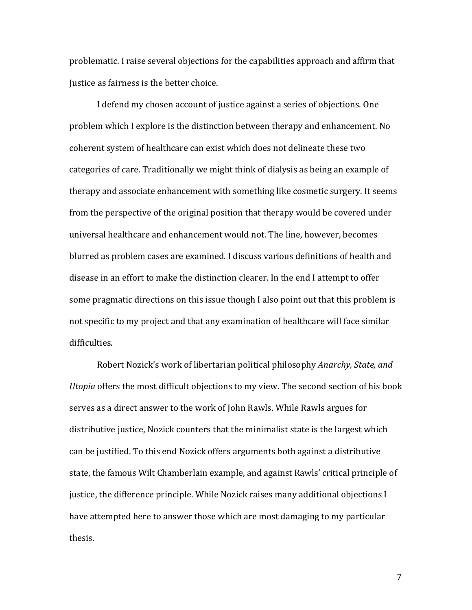problematic. I raise several objections for the capabilities approach and affirm that Justice as fairness is the better choice.

 I defend my chosen account of justice against a series of objections. One problem which I explore is the distinction between therapy and enhancement. No coherent system of healthcare can exist which does not delineate these two categories of care. Traditionally we might think of dialysis as being an example of therapy and associate enhancement with something like cosmetic surgery. It seems from the perspective of the original position that therapy would be covered under universal healthcare and enhancement would not. The line, however, becomes blurred as problem cases are examined. I discuss various definitions of health and disease in an effort to make the distinction clearer. In the end I attempt to offer some pragmatic directions on this issue though I also point out that this problem is not specific to my project and that any examination of healthcare will face similar difficulties.

 Robert Nozick's work of libertarian political philosophy Anarchy, State, and Utopia offers the most difficult objections to my view. The second section of his book serves as a direct answer to the work of John Rawls. While Rawls argues for distributive justice, Nozick counters that the minimalist state is the largest which can be justified. To this end Nozick offers arguments both against a distributive state, the famous Wilt Chamberlain example, and against Rawls' critical principle of justice, the difference principle. While Nozick raises many additional objections I have attempted here to answer those which are most damaging to my particular thesis.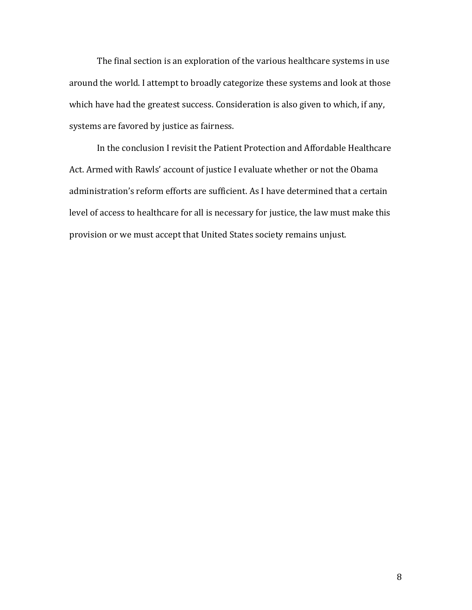The final section is an exploration of the various healthcare systems in use around the world. I attempt to broadly categorize these systems and look at those which have had the greatest success. Consideration is also given to which, if any, systems are favored by justice as fairness.

 In the conclusion I revisit the Patient Protection and Affordable Healthcare Act. Armed with Rawls' account of justice I evaluate whether or not the Obama administration's reform efforts are sufficient. As I have determined that a certain level of access to healthcare for all is necessary for justice, the law must make this provision or we must accept that United States society remains unjust.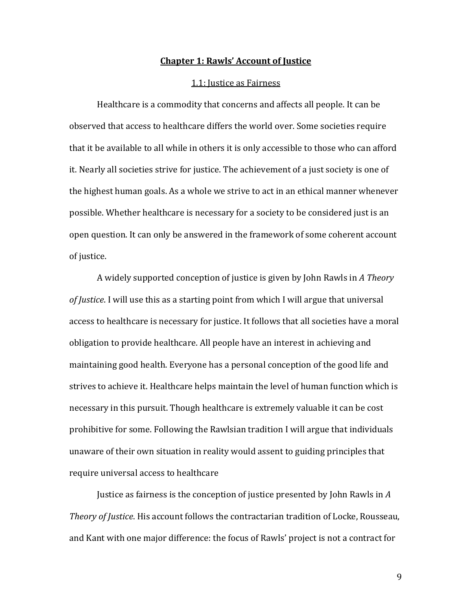#### Chapter 1: Rawls' Account of Justice

#### 1.1: Justice as Fairness

Healthcare is a commodity that concerns and affects all people. It can be observed that access to healthcare differs the world over. Some societies require that it be available to all while in others it is only accessible to those who can afford it. Nearly all societies strive for justice. The achievement of a just society is one of the highest human goals. As a whole we strive to act in an ethical manner whenever possible. Whether healthcare is necessary for a society to be considered just is an open question. It can only be answered in the framework of some coherent account of justice.

 A widely supported conception of justice is given by John Rawls in A Theory of Justice. I will use this as a starting point from which I will argue that universal access to healthcare is necessary for justice. It follows that all societies have a moral obligation to provide healthcare. All people have an interest in achieving and maintaining good health. Everyone has a personal conception of the good life and strives to achieve it. Healthcare helps maintain the level of human function which is necessary in this pursuit. Though healthcare is extremely valuable it can be cost prohibitive for some. Following the Rawlsian tradition I will argue that individuals unaware of their own situation in reality would assent to guiding principles that require universal access to healthcare

Justice as fairness is the conception of justice presented by John Rawls in A Theory of Justice. His account follows the contractarian tradition of Locke, Rousseau, and Kant with one major difference: the focus of Rawls' project is not a contract for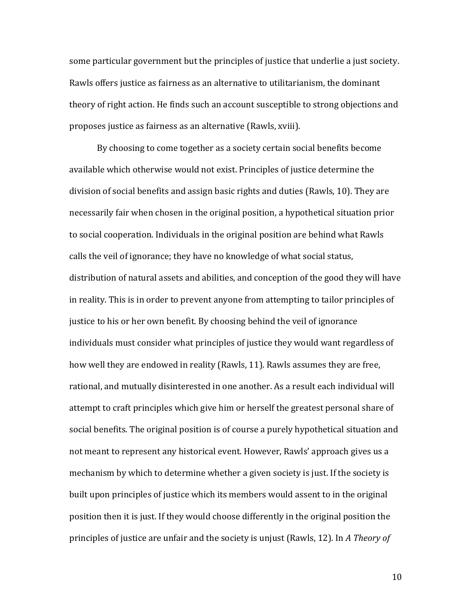some particular government but the principles of justice that underlie a just society. Rawls offers justice as fairness as an alternative to utilitarianism, the dominant theory of right action. He finds such an account susceptible to strong objections and proposes justice as fairness as an alternative (Rawls, xviii).

By choosing to come together as a society certain social benefits become available which otherwise would not exist. Principles of justice determine the division of social benefits and assign basic rights and duties (Rawls, 10). They are necessarily fair when chosen in the original position, a hypothetical situation prior to social cooperation. Individuals in the original position are behind what Rawls calls the veil of ignorance; they have no knowledge of what social status, distribution of natural assets and abilities, and conception of the good they will have in reality. This is in order to prevent anyone from attempting to tailor principles of justice to his or her own benefit. By choosing behind the veil of ignorance individuals must consider what principles of justice they would want regardless of how well they are endowed in reality (Rawls, 11). Rawls assumes they are free, rational, and mutually disinterested in one another. As a result each individual will attempt to craft principles which give him or herself the greatest personal share of social benefits. The original position is of course a purely hypothetical situation and not meant to represent any historical event. However, Rawls' approach gives us a mechanism by which to determine whether a given society is just. If the society is built upon principles of justice which its members would assent to in the original position then it is just. If they would choose differently in the original position the principles of justice are unfair and the society is unjust (Rawls, 12). In A Theory of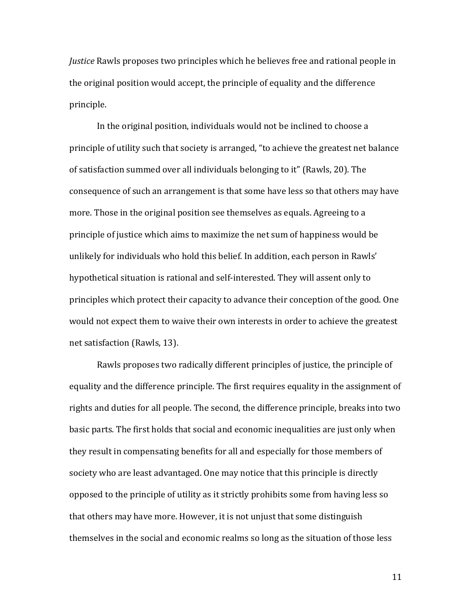Justice Rawls proposes two principles which he believes free and rational people in the original position would accept, the principle of equality and the difference principle.

 In the original position, individuals would not be inclined to choose a principle of utility such that society is arranged, "to achieve the greatest net balance of satisfaction summed over all individuals belonging to it" (Rawls, 20). The consequence of such an arrangement is that some have less so that others may have more. Those in the original position see themselves as equals. Agreeing to a principle of justice which aims to maximize the net sum of happiness would be unlikely for individuals who hold this belief. In addition, each person in Rawls' hypothetical situation is rational and self-interested. They will assent only to principles which protect their capacity to advance their conception of the good. One would not expect them to waive their own interests in order to achieve the greatest net satisfaction (Rawls, 13).

Rawls proposes two radically different principles of justice, the principle of equality and the difference principle. The first requires equality in the assignment of rights and duties for all people. The second, the difference principle, breaks into two basic parts. The first holds that social and economic inequalities are just only when they result in compensating benefits for all and especially for those members of society who are least advantaged. One may notice that this principle is directly opposed to the principle of utility as it strictly prohibits some from having less so that others may have more. However, it is not unjust that some distinguish themselves in the social and economic realms so long as the situation of those less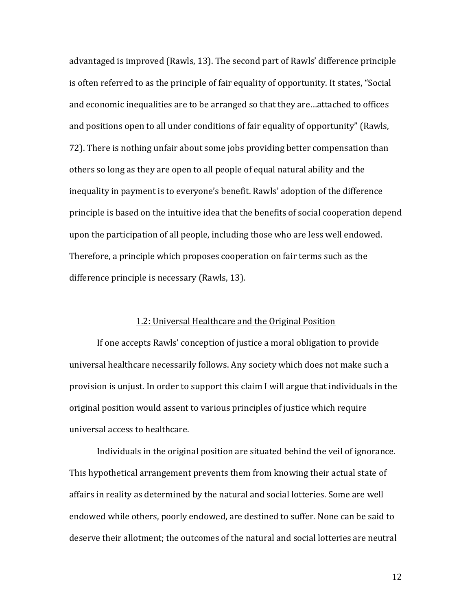advantaged is improved (Rawls, 13). The second part of Rawls' difference principle is often referred to as the principle of fair equality of opportunity. It states, "Social and economic inequalities are to be arranged so that they are…attached to offices and positions open to all under conditions of fair equality of opportunity" (Rawls, 72). There is nothing unfair about some jobs providing better compensation than others so long as they are open to all people of equal natural ability and the inequality in payment is to everyone's benefit. Rawls' adoption of the difference principle is based on the intuitive idea that the benefits of social cooperation depend upon the participation of all people, including those who are less well endowed. Therefore, a principle which proposes cooperation on fair terms such as the difference principle is necessary (Rawls, 13).

#### 1.2: Universal Healthcare and the Original Position

If one accepts Rawls' conception of justice a moral obligation to provide universal healthcare necessarily follows. Any society which does not make such a provision is unjust. In order to support this claim I will argue that individuals in the original position would assent to various principles of justice which require universal access to healthcare.

 Individuals in the original position are situated behind the veil of ignorance. This hypothetical arrangement prevents them from knowing their actual state of affairs in reality as determined by the natural and social lotteries. Some are well endowed while others, poorly endowed, are destined to suffer. None can be said to deserve their allotment; the outcomes of the natural and social lotteries are neutral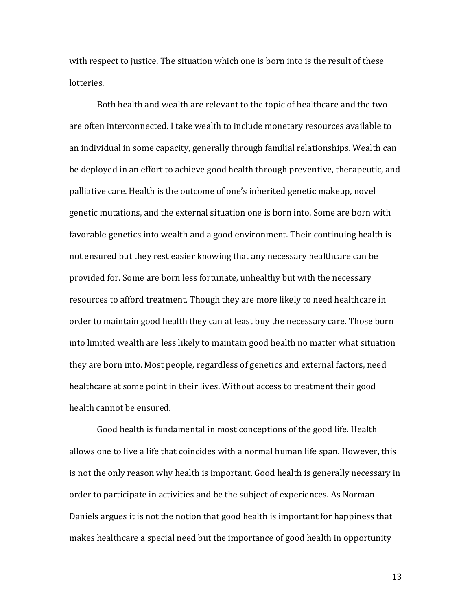with respect to justice. The situation which one is born into is the result of these lotteries.

Both health and wealth are relevant to the topic of healthcare and the two are often interconnected. I take wealth to include monetary resources available to an individual in some capacity, generally through familial relationships. Wealth can be deployed in an effort to achieve good health through preventive, therapeutic, and palliative care. Health is the outcome of one's inherited genetic makeup, novel genetic mutations, and the external situation one is born into. Some are born with favorable genetics into wealth and a good environment. Their continuing health is not ensured but they rest easier knowing that any necessary healthcare can be provided for. Some are born less fortunate, unhealthy but with the necessary resources to afford treatment. Though they are more likely to need healthcare in order to maintain good health they can at least buy the necessary care. Those born into limited wealth are less likely to maintain good health no matter what situation they are born into. Most people, regardless of genetics and external factors, need healthcare at some point in their lives. Without access to treatment their good health cannot be ensured.

 Good health is fundamental in most conceptions of the good life. Health allows one to live a life that coincides with a normal human life span. However, this is not the only reason why health is important. Good health is generally necessary in order to participate in activities and be the subject of experiences. As Norman Daniels argues it is not the notion that good health is important for happiness that makes healthcare a special need but the importance of good health in opportunity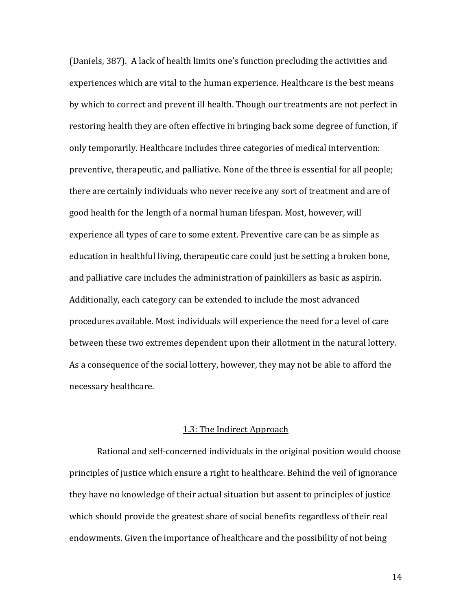(Daniels, 387). A lack of health limits one's function precluding the activities and experiences which are vital to the human experience. Healthcare is the best means by which to correct and prevent ill health. Though our treatments are not perfect in restoring health they are often effective in bringing back some degree of function, if only temporarily. Healthcare includes three categories of medical intervention: preventive, therapeutic, and palliative. None of the three is essential for all people; there are certainly individuals who never receive any sort of treatment and are of good health for the length of a normal human lifespan. Most, however, will experience all types of care to some extent. Preventive care can be as simple as education in healthful living, therapeutic care could just be setting a broken bone, and palliative care includes the administration of painkillers as basic as aspirin. Additionally, each category can be extended to include the most advanced procedures available. Most individuals will experience the need for a level of care between these two extremes dependent upon their allotment in the natural lottery. As a consequence of the social lottery, however, they may not be able to afford the necessary healthcare.

#### 1.3: The Indirect Approach

Rational and self-concerned individuals in the original position would choose principles of justice which ensure a right to healthcare. Behind the veil of ignorance they have no knowledge of their actual situation but assent to principles of justice which should provide the greatest share of social benefits regardless of their real endowments. Given the importance of healthcare and the possibility of not being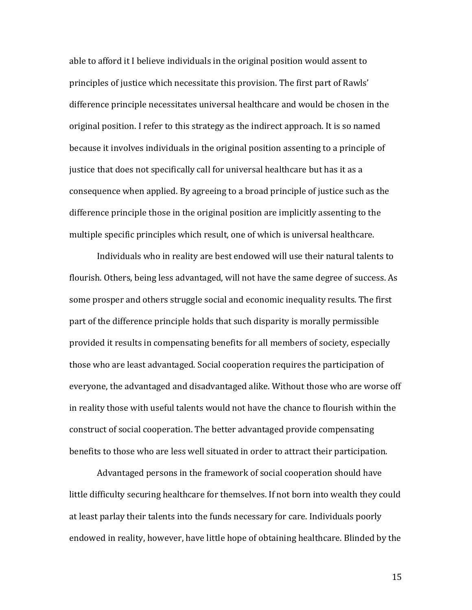able to afford it I believe individuals in the original position would assent to principles of justice which necessitate this provision. The first part of Rawls' difference principle necessitates universal healthcare and would be chosen in the original position. I refer to this strategy as the indirect approach. It is so named because it involves individuals in the original position assenting to a principle of justice that does not specifically call for universal healthcare but has it as a consequence when applied. By agreeing to a broad principle of justice such as the difference principle those in the original position are implicitly assenting to the multiple specific principles which result, one of which is universal healthcare.

 Individuals who in reality are best endowed will use their natural talents to flourish. Others, being less advantaged, will not have the same degree of success. As some prosper and others struggle social and economic inequality results. The first part of the difference principle holds that such disparity is morally permissible provided it results in compensating benefits for all members of society, especially those who are least advantaged. Social cooperation requires the participation of everyone, the advantaged and disadvantaged alike. Without those who are worse off in reality those with useful talents would not have the chance to flourish within the construct of social cooperation. The better advantaged provide compensating benefits to those who are less well situated in order to attract their participation.

Advantaged persons in the framework of social cooperation should have little difficulty securing healthcare for themselves. If not born into wealth they could at least parlay their talents into the funds necessary for care. Individuals poorly endowed in reality, however, have little hope of obtaining healthcare. Blinded by the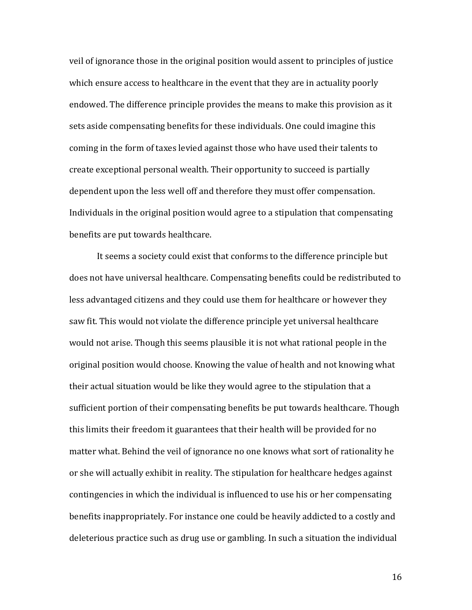veil of ignorance those in the original position would assent to principles of justice which ensure access to healthcare in the event that they are in actuality poorly endowed. The difference principle provides the means to make this provision as it sets aside compensating benefits for these individuals. One could imagine this coming in the form of taxes levied against those who have used their talents to create exceptional personal wealth. Their opportunity to succeed is partially dependent upon the less well off and therefore they must offer compensation. Individuals in the original position would agree to a stipulation that compensating benefits are put towards healthcare.

It seems a society could exist that conforms to the difference principle but does not have universal healthcare. Compensating benefits could be redistributed to less advantaged citizens and they could use them for healthcare or however they saw fit. This would not violate the difference principle yet universal healthcare would not arise. Though this seems plausible it is not what rational people in the original position would choose. Knowing the value of health and not knowing what their actual situation would be like they would agree to the stipulation that a sufficient portion of their compensating benefits be put towards healthcare. Though this limits their freedom it guarantees that their health will be provided for no matter what. Behind the veil of ignorance no one knows what sort of rationality he or she will actually exhibit in reality. The stipulation for healthcare hedges against contingencies in which the individual is influenced to use his or her compensating benefits inappropriately. For instance one could be heavily addicted to a costly and deleterious practice such as drug use or gambling. In such a situation the individual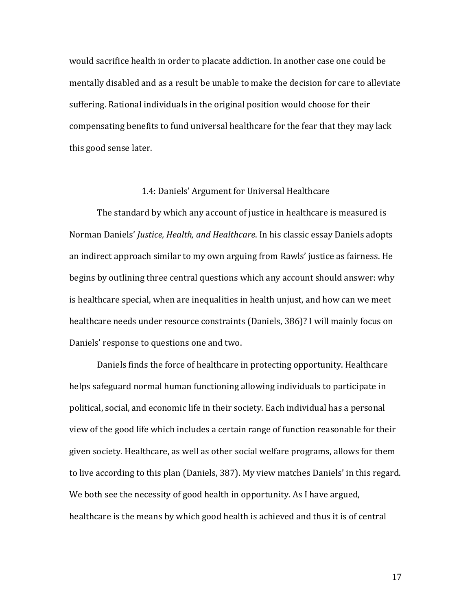would sacrifice health in order to placate addiction. In another case one could be mentally disabled and as a result be unable to make the decision for care to alleviate suffering. Rational individuals in the original position would choose for their compensating benefits to fund universal healthcare for the fear that they may lack this good sense later.

#### 1.4: Daniels' Argument for Universal Healthcare

The standard by which any account of justice in healthcare is measured is Norman Daniels' Justice, Health, and Healthcare. In his classic essay Daniels adopts an indirect approach similar to my own arguing from Rawls' justice as fairness. He begins by outlining three central questions which any account should answer: why is healthcare special, when are inequalities in health unjust, and how can we meet healthcare needs under resource constraints (Daniels, 386)? I will mainly focus on Daniels' response to questions one and two.

Daniels finds the force of healthcare in protecting opportunity. Healthcare helps safeguard normal human functioning allowing individuals to participate in political, social, and economic life in their society. Each individual has a personal view of the good life which includes a certain range of function reasonable for their given society. Healthcare, as well as other social welfare programs, allows for them to live according to this plan (Daniels, 387). My view matches Daniels' in this regard. We both see the necessity of good health in opportunity. As I have argued, healthcare is the means by which good health is achieved and thus it is of central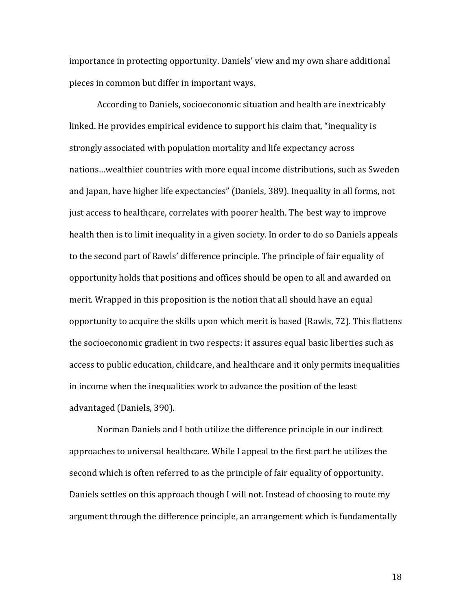importance in protecting opportunity. Daniels' view and my own share additional pieces in common but differ in important ways.

 According to Daniels, socioeconomic situation and health are inextricably linked. He provides empirical evidence to support his claim that, "inequality is strongly associated with population mortality and life expectancy across nations…wealthier countries with more equal income distributions, such as Sweden and Japan, have higher life expectancies" (Daniels, 389). Inequality in all forms, not just access to healthcare, correlates with poorer health. The best way to improve health then is to limit inequality in a given society. In order to do so Daniels appeals to the second part of Rawls' difference principle. The principle of fair equality of opportunity holds that positions and offices should be open to all and awarded on merit. Wrapped in this proposition is the notion that all should have an equal opportunity to acquire the skills upon which merit is based (Rawls, 72). This flattens the socioeconomic gradient in two respects: it assures equal basic liberties such as access to public education, childcare, and healthcare and it only permits inequalities in income when the inequalities work to advance the position of the least advantaged (Daniels, 390).

Norman Daniels and I both utilize the difference principle in our indirect approaches to universal healthcare. While I appeal to the first part he utilizes the second which is often referred to as the principle of fair equality of opportunity. Daniels settles on this approach though I will not. Instead of choosing to route my argument through the difference principle, an arrangement which is fundamentally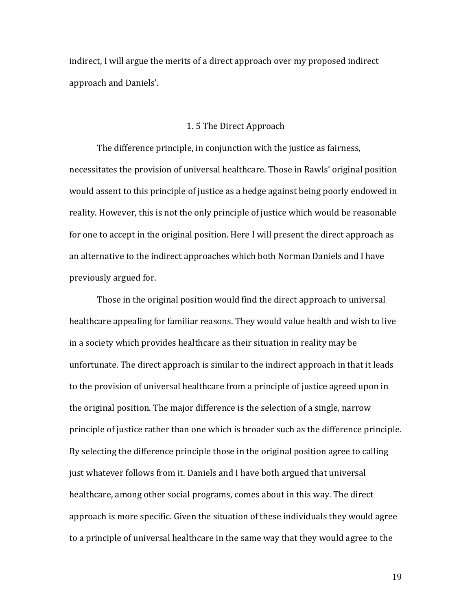indirect, I will argue the merits of a direct approach over my proposed indirect approach and Daniels'.

#### 1. 5 The Direct Approach

 The difference principle, in conjunction with the justice as fairness, necessitates the provision of universal healthcare. Those in Rawls' original position would assent to this principle of justice as a hedge against being poorly endowed in reality. However, this is not the only principle of justice which would be reasonable for one to accept in the original position. Here I will present the direct approach as an alternative to the indirect approaches which both Norman Daniels and I have previously argued for.

Those in the original position would find the direct approach to universal healthcare appealing for familiar reasons. They would value health and wish to live in a society which provides healthcare as their situation in reality may be unfortunate. The direct approach is similar to the indirect approach in that it leads to the provision of universal healthcare from a principle of justice agreed upon in the original position. The major difference is the selection of a single, narrow principle of justice rather than one which is broader such as the difference principle. By selecting the difference principle those in the original position agree to calling just whatever follows from it. Daniels and I have both argued that universal healthcare, among other social programs, comes about in this way. The direct approach is more specific. Given the situation of these individuals they would agree to a principle of universal healthcare in the same way that they would agree to the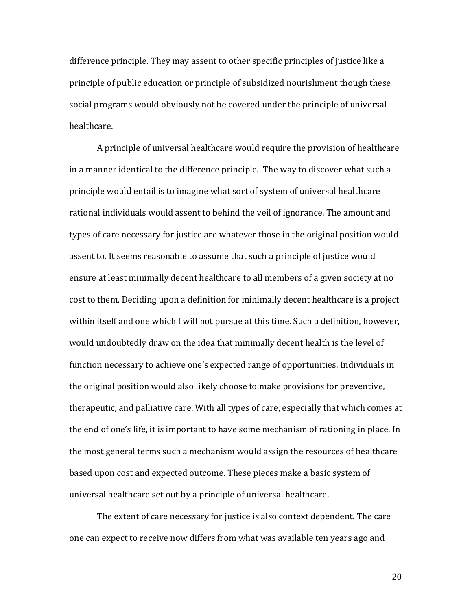difference principle. They may assent to other specific principles of justice like a principle of public education or principle of subsidized nourishment though these social programs would obviously not be covered under the principle of universal healthcare.

A principle of universal healthcare would require the provision of healthcare in a manner identical to the difference principle. The way to discover what such a principle would entail is to imagine what sort of system of universal healthcare rational individuals would assent to behind the veil of ignorance. The amount and types of care necessary for justice are whatever those in the original position would assent to. It seems reasonable to assume that such a principle of justice would ensure at least minimally decent healthcare to all members of a given society at no cost to them. Deciding upon a definition for minimally decent healthcare is a project within itself and one which I will not pursue at this time. Such a definition, however, would undoubtedly draw on the idea that minimally decent health is the level of function necessary to achieve one's expected range of opportunities. Individuals in the original position would also likely choose to make provisions for preventive, therapeutic, and palliative care. With all types of care, especially that which comes at the end of one's life, it is important to have some mechanism of rationing in place. In the most general terms such a mechanism would assign the resources of healthcare based upon cost and expected outcome. These pieces make a basic system of universal healthcare set out by a principle of universal healthcare.

The extent of care necessary for justice is also context dependent. The care one can expect to receive now differs from what was available ten years ago and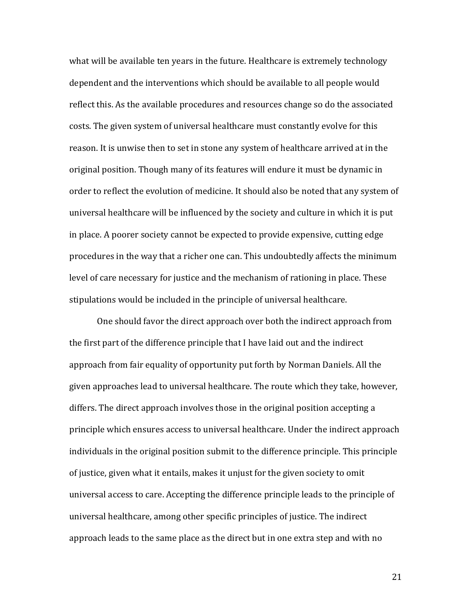what will be available ten years in the future. Healthcare is extremely technology dependent and the interventions which should be available to all people would reflect this. As the available procedures and resources change so do the associated costs. The given system of universal healthcare must constantly evolve for this reason. It is unwise then to set in stone any system of healthcare arrived at in the original position. Though many of its features will endure it must be dynamic in order to reflect the evolution of medicine. It should also be noted that any system of universal healthcare will be influenced by the society and culture in which it is put in place. A poorer society cannot be expected to provide expensive, cutting edge procedures in the way that a richer one can. This undoubtedly affects the minimum level of care necessary for justice and the mechanism of rationing in place. These stipulations would be included in the principle of universal healthcare.

 One should favor the direct approach over both the indirect approach from the first part of the difference principle that I have laid out and the indirect approach from fair equality of opportunity put forth by Norman Daniels. All the given approaches lead to universal healthcare. The route which they take, however, differs. The direct approach involves those in the original position accepting a principle which ensures access to universal healthcare. Under the indirect approach individuals in the original position submit to the difference principle. This principle of justice, given what it entails, makes it unjust for the given society to omit universal access to care. Accepting the difference principle leads to the principle of universal healthcare, among other specific principles of justice. The indirect approach leads to the same place as the direct but in one extra step and with no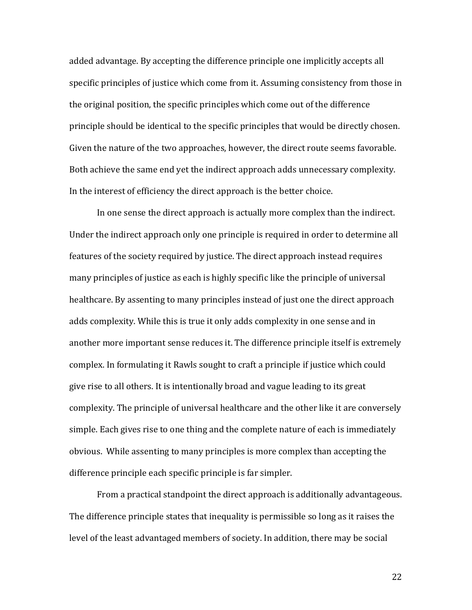added advantage. By accepting the difference principle one implicitly accepts all specific principles of justice which come from it. Assuming consistency from those in the original position, the specific principles which come out of the difference principle should be identical to the specific principles that would be directly chosen. Given the nature of the two approaches, however, the direct route seems favorable. Both achieve the same end yet the indirect approach adds unnecessary complexity. In the interest of efficiency the direct approach is the better choice.

 In one sense the direct approach is actually more complex than the indirect. Under the indirect approach only one principle is required in order to determine all features of the society required by justice. The direct approach instead requires many principles of justice as each is highly specific like the principle of universal healthcare. By assenting to many principles instead of just one the direct approach adds complexity. While this is true it only adds complexity in one sense and in another more important sense reduces it. The difference principle itself is extremely complex. In formulating it Rawls sought to craft a principle if justice which could give rise to all others. It is intentionally broad and vague leading to its great complexity. The principle of universal healthcare and the other like it are conversely simple. Each gives rise to one thing and the complete nature of each is immediately obvious. While assenting to many principles is more complex than accepting the difference principle each specific principle is far simpler.

 From a practical standpoint the direct approach is additionally advantageous. The difference principle states that inequality is permissible so long as it raises the level of the least advantaged members of society. In addition, there may be social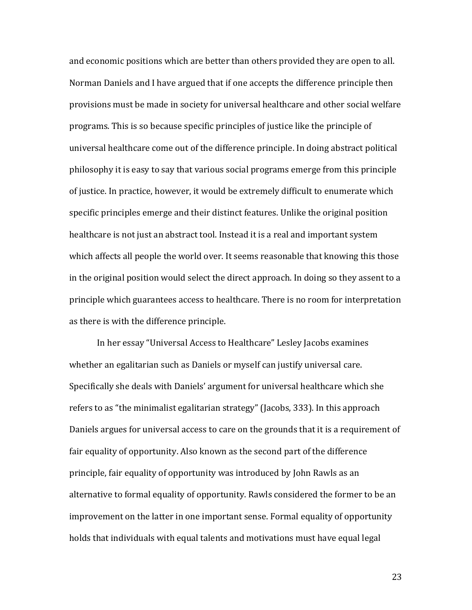and economic positions which are better than others provided they are open to all. Norman Daniels and I have argued that if one accepts the difference principle then provisions must be made in society for universal healthcare and other social welfare programs. This is so because specific principles of justice like the principle of universal healthcare come out of the difference principle. In doing abstract political philosophy it is easy to say that various social programs emerge from this principle of justice. In practice, however, it would be extremely difficult to enumerate which specific principles emerge and their distinct features. Unlike the original position healthcare is not just an abstract tool. Instead it is a real and important system which affects all people the world over. It seems reasonable that knowing this those in the original position would select the direct approach. In doing so they assent to a principle which guarantees access to healthcare. There is no room for interpretation as there is with the difference principle.

 In her essay "Universal Access to Healthcare" Lesley Jacobs examines whether an egalitarian such as Daniels or myself can justify universal care. Specifically she deals with Daniels' argument for universal healthcare which she refers to as "the minimalist egalitarian strategy" (Jacobs, 333). In this approach Daniels argues for universal access to care on the grounds that it is a requirement of fair equality of opportunity. Also known as the second part of the difference principle, fair equality of opportunity was introduced by John Rawls as an alternative to formal equality of opportunity. Rawls considered the former to be an improvement on the latter in one important sense. Formal equality of opportunity holds that individuals with equal talents and motivations must have equal legal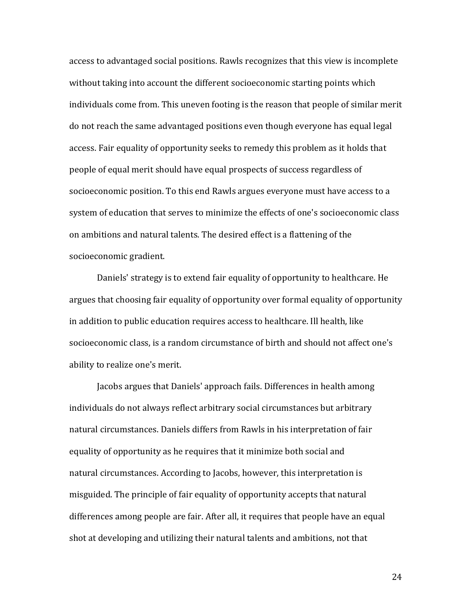access to advantaged social positions. Rawls recognizes that this view is incomplete without taking into account the different socioeconomic starting points which individuals come from. This uneven footing is the reason that people of similar merit do not reach the same advantaged positions even though everyone has equal legal access. Fair equality of opportunity seeks to remedy this problem as it holds that people of equal merit should have equal prospects of success regardless of socioeconomic position. To this end Rawls argues everyone must have access to a system of education that serves to minimize the effects of one's socioeconomic class on ambitions and natural talents. The desired effect is a flattening of the socioeconomic gradient.

 Daniels' strategy is to extend fair equality of opportunity to healthcare. He argues that choosing fair equality of opportunity over formal equality of opportunity in addition to public education requires access to healthcare. Ill health, like socioeconomic class, is a random circumstance of birth and should not affect one's ability to realize one's merit.

Jacobs argues that Daniels' approach fails. Differences in health among individuals do not always reflect arbitrary social circumstances but arbitrary natural circumstances. Daniels differs from Rawls in his interpretation of fair equality of opportunity as he requires that it minimize both social and natural circumstances. According to Jacobs, however, this interpretation is misguided. The principle of fair equality of opportunity accepts that natural differences among people are fair. After all, it requires that people have an equal shot at developing and utilizing their natural talents and ambitions, not that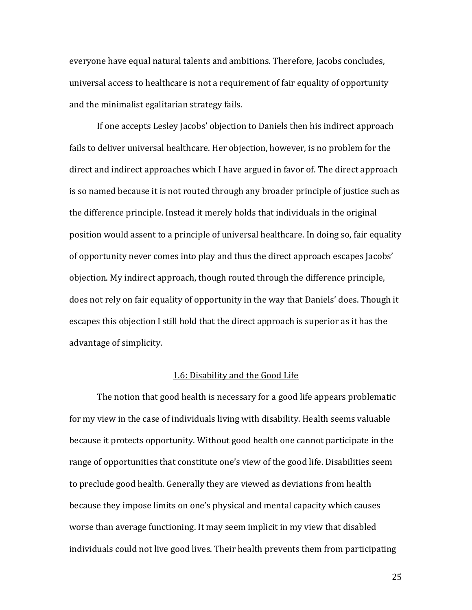everyone have equal natural talents and ambitions. Therefore, Jacobs concludes, universal access to healthcare is not a requirement of fair equality of opportunity and the minimalist egalitarian strategy fails.

If one accepts Lesley Jacobs' objection to Daniels then his indirect approach fails to deliver universal healthcare. Her objection, however, is no problem for the direct and indirect approaches which I have argued in favor of. The direct approach is so named because it is not routed through any broader principle of justice such as the difference principle. Instead it merely holds that individuals in the original position would assent to a principle of universal healthcare. In doing so, fair equality of opportunity never comes into play and thus the direct approach escapes Jacobs' objection. My indirect approach, though routed through the difference principle, does not rely on fair equality of opportunity in the way that Daniels' does. Though it escapes this objection I still hold that the direct approach is superior as it has the advantage of simplicity.

#### 1.6: Disability and the Good Life

 The notion that good health is necessary for a good life appears problematic for my view in the case of individuals living with disability. Health seems valuable because it protects opportunity. Without good health one cannot participate in the range of opportunities that constitute one's view of the good life. Disabilities seem to preclude good health. Generally they are viewed as deviations from health because they impose limits on one's physical and mental capacity which causes worse than average functioning. It may seem implicit in my view that disabled individuals could not live good lives. Their health prevents them from participating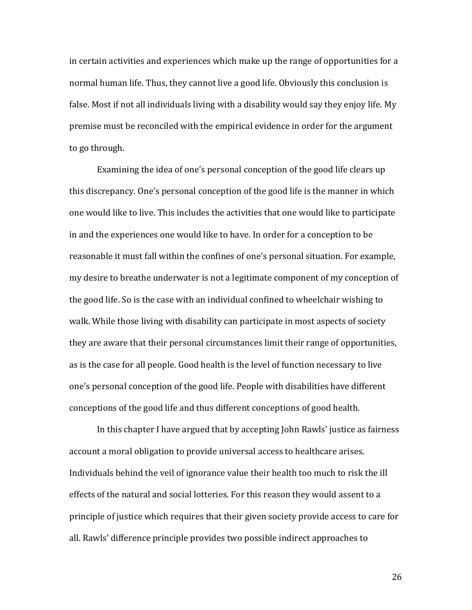in certain activities and experiences which make up the range of opportunities for a normal human life. Thus, they cannot live a good life. Obviously this conclusion is false. Most if not all individuals living with a disability would say they enjoy life. My premise must be reconciled with the empirical evidence in order for the argument to go through.

 Examining the idea of one's personal conception of the good life clears up this discrepancy. One's personal conception of the good life is the manner in which one would like to live. This includes the activities that one would like to participate in and the experiences one would like to have. In order for a conception to be reasonable it must fall within the confines of one's personal situation. For example, my desire to breathe underwater is not a legitimate component of my conception of the good life. So is the case with an individual confined to wheelchair wishing to walk. While those living with disability can participate in most aspects of society they are aware that their personal circumstances limit their range of opportunities, as is the case for all people. Good health is the level of function necessary to live one's personal conception of the good life. People with disabilities have different conceptions of the good life and thus different conceptions of good health.

 In this chapter I have argued that by accepting John Rawls' justice as fairness account a moral obligation to provide universal access to healthcare arises. Individuals behind the veil of ignorance value their health too much to risk the ill effects of the natural and social lotteries. For this reason they would assent to a principle of justice which requires that their given society provide access to care for all. Rawls' difference principle provides two possible indirect approaches to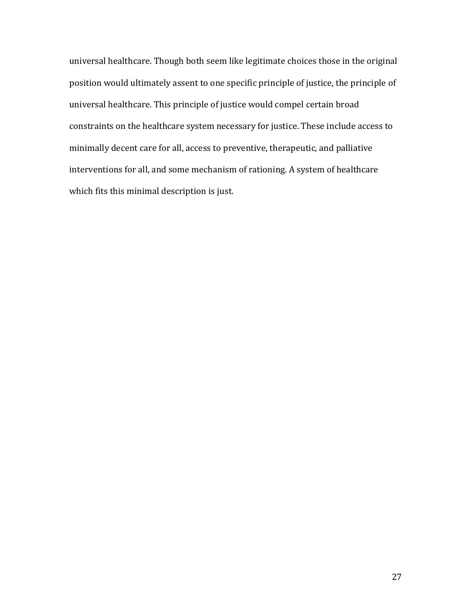universal healthcare. Though both seem like legitimate choices those in the original position would ultimately assent to one specific principle of justice, the principle of universal healthcare. This principle of justice would compel certain broad constraints on the healthcare system necessary for justice. These include access to minimally decent care for all, access to preventive, therapeutic, and palliative interventions for all, and some mechanism of rationing. A system of healthcare which fits this minimal description is just.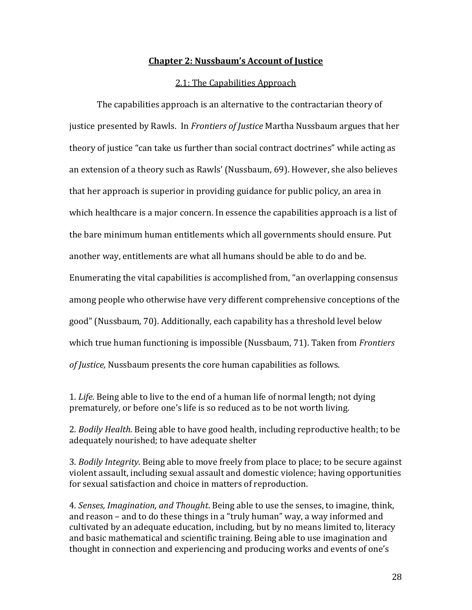#### Chapter 2: Nussbaum's Account of Justice

#### 2.1: The Capabilities Approach

The capabilities approach is an alternative to the contractarian theory of justice presented by Rawls. In Frontiers of Justice Martha Nussbaum argues that her theory of justice "can take us further than social contract doctrines" while acting as an extension of a theory such as Rawls' (Nussbaum, 69). However, she also believes that her approach is superior in providing guidance for public policy, an area in which healthcare is a major concern. In essence the capabilities approach is a list of the bare minimum human entitlements which all governments should ensure. Put another way, entitlements are what all humans should be able to do and be. Enumerating the vital capabilities is accomplished from, "an overlapping consensus among people who otherwise have very different comprehensive conceptions of the good" (Nussbaum, 70). Additionally, each capability has a threshold level below which true human functioning is impossible (Nussbaum, 71). Taken from Frontiers of Justice, Nussbaum presents the core human capabilities as follows.

1. Life. Being able to live to the end of a human life of normal length; not dying prematurely, or before one's life is so reduced as to be not worth living.

2. Bodily Health. Being able to have good health, including reproductive health; to be adequately nourished; to have adequate shelter

3. Bodily Integrity. Being able to move freely from place to place; to be secure against violent assault, including sexual assault and domestic violence; having opportunities for sexual satisfaction and choice in matters of reproduction.

4. Senses, Imagination, and Thought. Being able to use the senses, to imagine, think, and reason – and to do these things in a "truly human" way, a way informed and cultivated by an adequate education, including, but by no means limited to, literacy and basic mathematical and scientific training. Being able to use imagination and thought in connection and experiencing and producing works and events of one's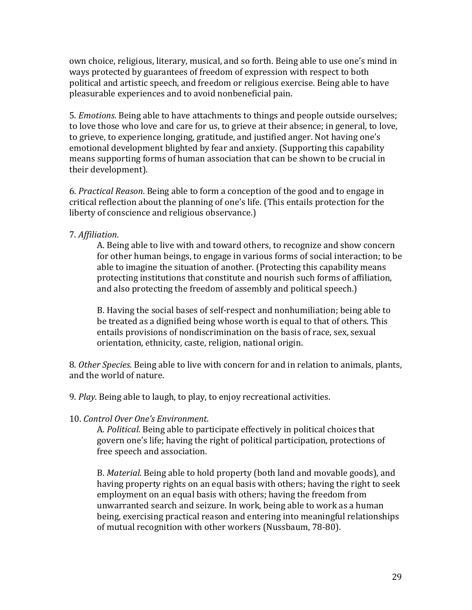own choice, religious, literary, musical, and so forth. Being able to use one's mind in ways protected by guarantees of freedom of expression with respect to both political and artistic speech, and freedom or religious exercise. Being able to have pleasurable experiences and to avoid nonbeneficial pain.

5. Emotions. Being able to have attachments to things and people outside ourselves; to love those who love and care for us, to grieve at their absence; in general, to love, to grieve, to experience longing, gratitude, and justified anger. Not having one's emotional development blighted by fear and anxiety. (Supporting this capability means supporting forms of human association that can be shown to be crucial in their development).

6. Practical Reason. Being able to form a conception of the good and to engage in critical reflection about the planning of one's life. (This entails protection for the liberty of conscience and religious observance.)

### 7. Affiliation.

A. Being able to live with and toward others, to recognize and show concern for other human beings, to engage in various forms of social interaction; to be able to imagine the situation of another. (Protecting this capability means protecting institutions that constitute and nourish such forms of affiliation, and also protecting the freedom of assembly and political speech.)

B. Having the social bases of self-respect and nonhumiliation; being able to be treated as a dignified being whose worth is equal to that of others. This entails provisions of nondiscrimination on the basis of race, sex, sexual orientation, ethnicity, caste, religion, national origin.

8. Other Species. Being able to live with concern for and in relation to animals, plants, and the world of nature.

9. Play. Being able to laugh, to play, to enjoy recreational activities.

## 10. Control Over One's Environment.

A. Political. Being able to participate effectively in political choices that govern one's life; having the right of political participation, protections of free speech and association.

B. Material. Being able to hold property (both land and movable goods), and having property rights on an equal basis with others; having the right to seek employment on an equal basis with others; having the freedom from unwarranted search and seizure. In work, being able to work as a human being, exercising practical reason and entering into meaningful relationships of mutual recognition with other workers (Nussbaum, 78-80).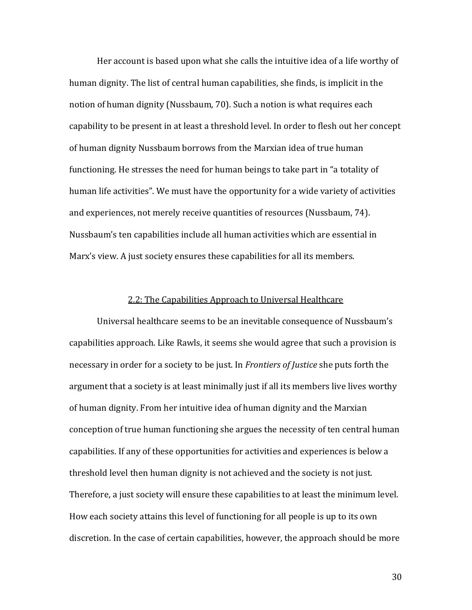Her account is based upon what she calls the intuitive idea of a life worthy of human dignity. The list of central human capabilities, she finds, is implicit in the notion of human dignity (Nussbaum, 70). Such a notion is what requires each capability to be present in at least a threshold level. In order to flesh out her concept of human dignity Nussbaum borrows from the Marxian idea of true human functioning. He stresses the need for human beings to take part in "a totality of human life activities". We must have the opportunity for a wide variety of activities and experiences, not merely receive quantities of resources (Nussbaum, 74). Nussbaum's ten capabilities include all human activities which are essential in Marx's view. A just society ensures these capabilities for all its members.

#### 2.2: The Capabilities Approach to Universal Healthcare

Universal healthcare seems to be an inevitable consequence of Nussbaum's capabilities approach. Like Rawls, it seems she would agree that such a provision is necessary in order for a society to be just. In *Frontiers of Justice* she puts forth the argument that a society is at least minimally just if all its members live lives worthy of human dignity. From her intuitive idea of human dignity and the Marxian conception of true human functioning she argues the necessity of ten central human capabilities. If any of these opportunities for activities and experiences is below a threshold level then human dignity is not achieved and the society is not just. Therefore, a just society will ensure these capabilities to at least the minimum level. How each society attains this level of functioning for all people is up to its own discretion. In the case of certain capabilities, however, the approach should be more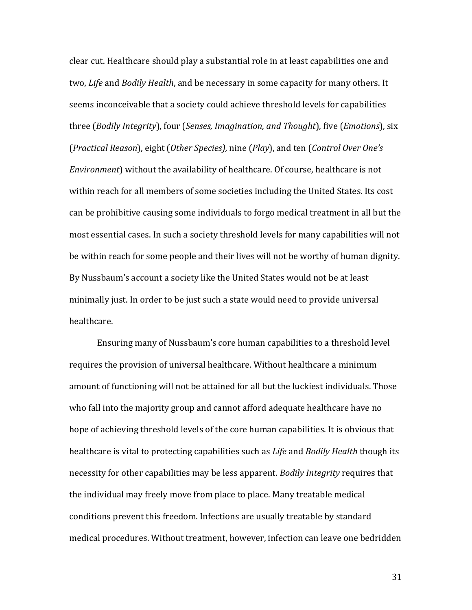clear cut. Healthcare should play a substantial role in at least capabilities one and two, Life and Bodily Health, and be necessary in some capacity for many others. It seems inconceivable that a society could achieve threshold levels for capabilities three (Bodily Integrity), four (Senses, Imagination, and Thought), five (Emotions), six (Practical Reason), eight (Other Species), nine (Play), and ten (Control Over One's Environment) without the availability of healthcare. Of course, healthcare is not within reach for all members of some societies including the United States. Its cost can be prohibitive causing some individuals to forgo medical treatment in all but the most essential cases. In such a society threshold levels for many capabilities will not be within reach for some people and their lives will not be worthy of human dignity. By Nussbaum's account a society like the United States would not be at least minimally just. In order to be just such a state would need to provide universal healthcare.

Ensuring many of Nussbaum's core human capabilities to a threshold level requires the provision of universal healthcare. Without healthcare a minimum amount of functioning will not be attained for all but the luckiest individuals. Those who fall into the majority group and cannot afford adequate healthcare have no hope of achieving threshold levels of the core human capabilities. It is obvious that healthcare is vital to protecting capabilities such as *Life* and *Bodily Health* though its necessity for other capabilities may be less apparent. Bodily Integrity requires that the individual may freely move from place to place. Many treatable medical conditions prevent this freedom. Infections are usually treatable by standard medical procedures. Without treatment, however, infection can leave one bedridden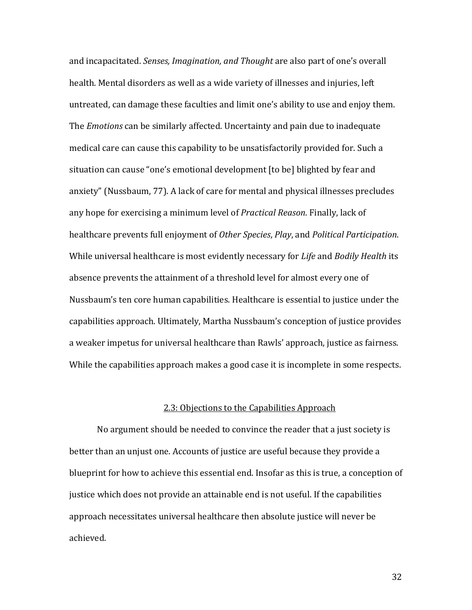and incapacitated. Senses, Imagination, and Thought are also part of one's overall health. Mental disorders as well as a wide variety of illnesses and injuries, left untreated, can damage these faculties and limit one's ability to use and enjoy them. The *Emotions* can be similarly affected. Uncertainty and pain due to inadequate medical care can cause this capability to be unsatisfactorily provided for. Such a situation can cause "one's emotional development [to be] blighted by fear and anxiety" (Nussbaum, 77). A lack of care for mental and physical illnesses precludes any hope for exercising a minimum level of Practical Reason. Finally, lack of healthcare prevents full enjoyment of Other Species, Play, and Political Participation. While universal healthcare is most evidently necessary for *Life* and *Bodily Health* its absence prevents the attainment of a threshold level for almost every one of Nussbaum's ten core human capabilities. Healthcare is essential to justice under the capabilities approach. Ultimately, Martha Nussbaum's conception of justice provides a weaker impetus for universal healthcare than Rawls' approach, justice as fairness. While the capabilities approach makes a good case it is incomplete in some respects.

#### 2.3: Objections to the Capabilities Approach

No argument should be needed to convince the reader that a just society is better than an unjust one. Accounts of justice are useful because they provide a blueprint for how to achieve this essential end. Insofar as this is true, a conception of justice which does not provide an attainable end is not useful. If the capabilities approach necessitates universal healthcare then absolute justice will never be achieved.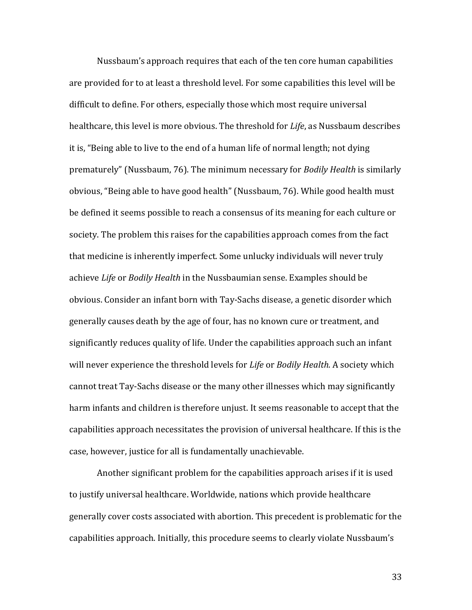Nussbaum's approach requires that each of the ten core human capabilities are provided for to at least a threshold level. For some capabilities this level will be difficult to define. For others, especially those which most require universal healthcare, this level is more obvious. The threshold for *Life*, as Nussbaum describes it is, "Being able to live to the end of a human life of normal length; not dying prematurely" (Nussbaum, 76). The minimum necessary for Bodily Health is similarly obvious, "Being able to have good health" (Nussbaum, 76). While good health must be defined it seems possible to reach a consensus of its meaning for each culture or society. The problem this raises for the capabilities approach comes from the fact that medicine is inherently imperfect. Some unlucky individuals will never truly achieve Life or Bodily Health in the Nussbaumian sense. Examples should be obvious. Consider an infant born with Tay-Sachs disease, a genetic disorder which generally causes death by the age of four, has no known cure or treatment, and significantly reduces quality of life. Under the capabilities approach such an infant will never experience the threshold levels for Life or Bodily Health. A society which cannot treat Tay-Sachs disease or the many other illnesses which may significantly harm infants and children is therefore unjust. It seems reasonable to accept that the capabilities approach necessitates the provision of universal healthcare. If this is the case, however, justice for all is fundamentally unachievable.

Another significant problem for the capabilities approach arises if it is used to justify universal healthcare. Worldwide, nations which provide healthcare generally cover costs associated with abortion. This precedent is problematic for the capabilities approach. Initially, this procedure seems to clearly violate Nussbaum's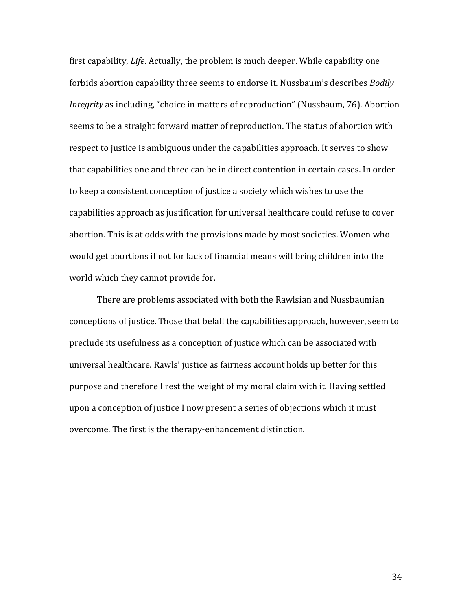first capability, Life. Actually, the problem is much deeper. While capability one forbids abortion capability three seems to endorse it. Nussbaum's describes Bodily Integrity as including, "choice in matters of reproduction" (Nussbaum, 76). Abortion seems to be a straight forward matter of reproduction. The status of abortion with respect to justice is ambiguous under the capabilities approach. It serves to show that capabilities one and three can be in direct contention in certain cases. In order to keep a consistent conception of justice a society which wishes to use the capabilities approach as justification for universal healthcare could refuse to cover abortion. This is at odds with the provisions made by most societies. Women who would get abortions if not for lack of financial means will bring children into the world which they cannot provide for.

There are problems associated with both the Rawlsian and Nussbaumian conceptions of justice. Those that befall the capabilities approach, however, seem to preclude its usefulness as a conception of justice which can be associated with universal healthcare. Rawls' justice as fairness account holds up better for this purpose and therefore I rest the weight of my moral claim with it. Having settled upon a conception of justice I now present a series of objections which it must overcome. The first is the therapy-enhancement distinction.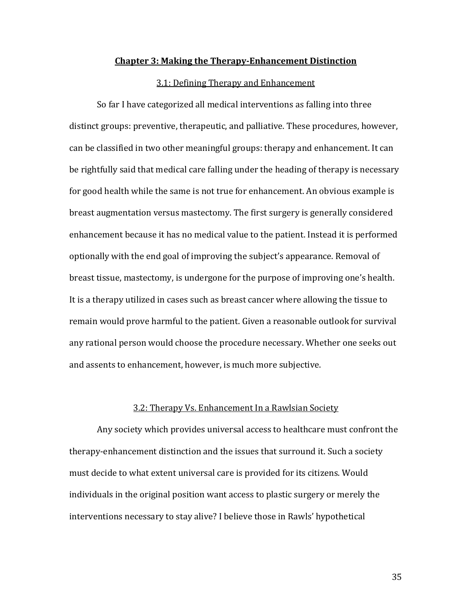#### Chapter 3: Making the Therapy-Enhancement Distinction

#### 3.1: Defining Therapy and Enhancement

So far I have categorized all medical interventions as falling into three distinct groups: preventive, therapeutic, and palliative. These procedures, however, can be classified in two other meaningful groups: therapy and enhancement. It can be rightfully said that medical care falling under the heading of therapy is necessary for good health while the same is not true for enhancement. An obvious example is breast augmentation versus mastectomy. The first surgery is generally considered enhancement because it has no medical value to the patient. Instead it is performed optionally with the end goal of improving the subject's appearance. Removal of breast tissue, mastectomy, is undergone for the purpose of improving one's health. It is a therapy utilized in cases such as breast cancer where allowing the tissue to remain would prove harmful to the patient. Given a reasonable outlook for survival any rational person would choose the procedure necessary. Whether one seeks out and assents to enhancement, however, is much more subjective.

#### 3.2: Therapy Vs. Enhancement In a Rawlsian Society

Any society which provides universal access to healthcare must confront the therapy-enhancement distinction and the issues that surround it. Such a society must decide to what extent universal care is provided for its citizens. Would individuals in the original position want access to plastic surgery or merely the interventions necessary to stay alive? I believe those in Rawls' hypothetical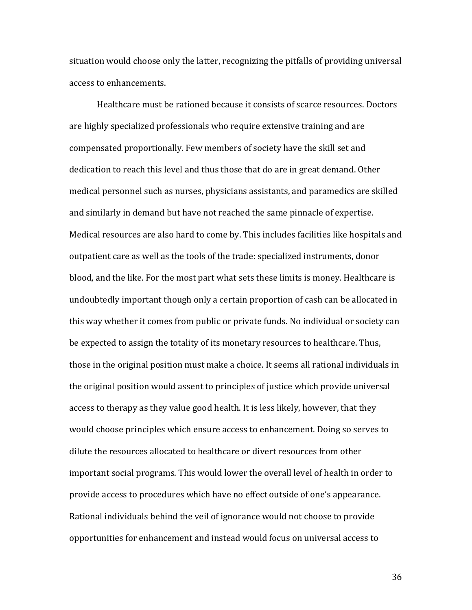situation would choose only the latter, recognizing the pitfalls of providing universal access to enhancements.

 Healthcare must be rationed because it consists of scarce resources. Doctors are highly specialized professionals who require extensive training and are compensated proportionally. Few members of society have the skill set and dedication to reach this level and thus those that do are in great demand. Other medical personnel such as nurses, physicians assistants, and paramedics are skilled and similarly in demand but have not reached the same pinnacle of expertise. Medical resources are also hard to come by. This includes facilities like hospitals and outpatient care as well as the tools of the trade: specialized instruments, donor blood, and the like. For the most part what sets these limits is money. Healthcare is undoubtedly important though only a certain proportion of cash can be allocated in this way whether it comes from public or private funds. No individual or society can be expected to assign the totality of its monetary resources to healthcare. Thus, those in the original position must make a choice. It seems all rational individuals in the original position would assent to principles of justice which provide universal access to therapy as they value good health. It is less likely, however, that they would choose principles which ensure access to enhancement. Doing so serves to dilute the resources allocated to healthcare or divert resources from other important social programs. This would lower the overall level of health in order to provide access to procedures which have no effect outside of one's appearance. Rational individuals behind the veil of ignorance would not choose to provide opportunities for enhancement and instead would focus on universal access to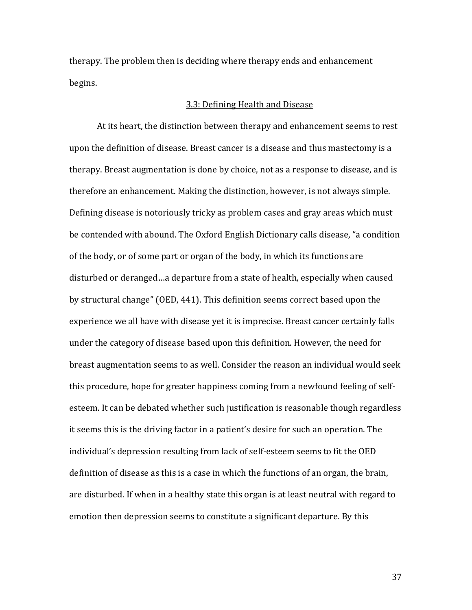therapy. The problem then is deciding where therapy ends and enhancement begins.

#### 3.3: Defining Health and Disease

At its heart, the distinction between therapy and enhancement seems to rest upon the definition of disease. Breast cancer is a disease and thus mastectomy is a therapy. Breast augmentation is done by choice, not as a response to disease, and is therefore an enhancement. Making the distinction, however, is not always simple. Defining disease is notoriously tricky as problem cases and gray areas which must be contended with abound. The Oxford English Dictionary calls disease, "a condition of the body, or of some part or organ of the body, in which its functions are disturbed or deranged…a departure from a state of health, especially when caused by structural change" (OED, 441). This definition seems correct based upon the experience we all have with disease yet it is imprecise. Breast cancer certainly falls under the category of disease based upon this definition. However, the need for breast augmentation seems to as well. Consider the reason an individual would seek this procedure, hope for greater happiness coming from a newfound feeling of selfesteem. It can be debated whether such justification is reasonable though regardless it seems this is the driving factor in a patient's desire for such an operation. The individual's depression resulting from lack of self-esteem seems to fit the OED definition of disease as this is a case in which the functions of an organ, the brain, are disturbed. If when in a healthy state this organ is at least neutral with regard to emotion then depression seems to constitute a significant departure. By this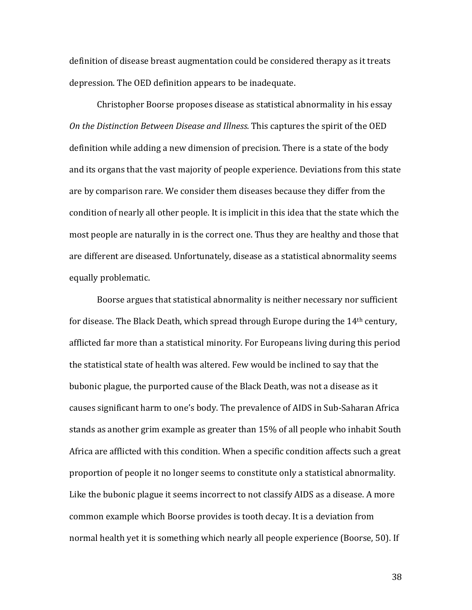definition of disease breast augmentation could be considered therapy as it treats depression. The OED definition appears to be inadequate.

 Christopher Boorse proposes disease as statistical abnormality in his essay On the Distinction Between Disease and Illness. This captures the spirit of the OED definition while adding a new dimension of precision. There is a state of the body and its organs that the vast majority of people experience. Deviations from this state are by comparison rare. We consider them diseases because they differ from the condition of nearly all other people. It is implicit in this idea that the state which the most people are naturally in is the correct one. Thus they are healthy and those that are different are diseased. Unfortunately, disease as a statistical abnormality seems equally problematic.

Boorse argues that statistical abnormality is neither necessary nor sufficient for disease. The Black Death, which spread through Europe during the 14th century, afflicted far more than a statistical minority. For Europeans living during this period the statistical state of health was altered. Few would be inclined to say that the bubonic plague, the purported cause of the Black Death, was not a disease as it causes significant harm to one's body. The prevalence of AIDS in Sub-Saharan Africa stands as another grim example as greater than 15% of all people who inhabit South Africa are afflicted with this condition. When a specific condition affects such a great proportion of people it no longer seems to constitute only a statistical abnormality. Like the bubonic plague it seems incorrect to not classify AIDS as a disease. A more common example which Boorse provides is tooth decay. It is a deviation from normal health yet it is something which nearly all people experience (Boorse, 50). If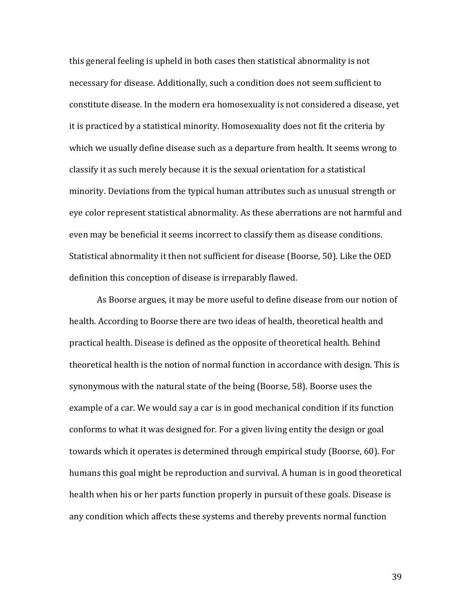this general feeling is upheld in both cases then statistical abnormality is not necessary for disease. Additionally, such a condition does not seem sufficient to constitute disease. In the modern era homosexuality is not considered a disease, yet it is practiced by a statistical minority. Homosexuality does not fit the criteria by which we usually define disease such as a departure from health. It seems wrong to classify it as such merely because it is the sexual orientation for a statistical minority. Deviations from the typical human attributes such as unusual strength or eye color represent statistical abnormality. As these aberrations are not harmful and even may be beneficial it seems incorrect to classify them as disease conditions. Statistical abnormality it then not sufficient for disease (Boorse, 50). Like the OED definition this conception of disease is irreparably flawed.

As Boorse argues, it may be more useful to define disease from our notion of health. According to Boorse there are two ideas of health, theoretical health and practical health. Disease is defined as the opposite of theoretical health. Behind theoretical health is the notion of normal function in accordance with design. This is synonymous with the natural state of the being (Boorse, 58). Boorse uses the example of a car. We would say a car is in good mechanical condition if its function conforms to what it was designed for. For a given living entity the design or goal towards which it operates is determined through empirical study (Boorse, 60). For humans this goal might be reproduction and survival. A human is in good theoretical health when his or her parts function properly in pursuit of these goals. Disease is any condition which affects these systems and thereby prevents normal function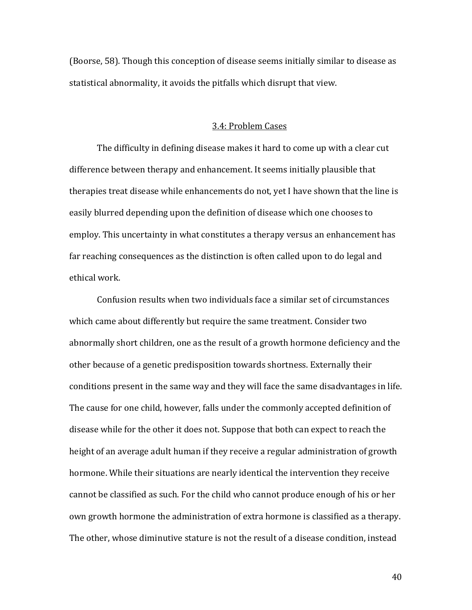(Boorse, 58). Though this conception of disease seems initially similar to disease as statistical abnormality, it avoids the pitfalls which disrupt that view.

#### 3.4: Problem Cases

The difficulty in defining disease makes it hard to come up with a clear cut difference between therapy and enhancement. It seems initially plausible that therapies treat disease while enhancements do not, yet I have shown that the line is easily blurred depending upon the definition of disease which one chooses to employ. This uncertainty in what constitutes a therapy versus an enhancement has far reaching consequences as the distinction is often called upon to do legal and ethical work.

 Confusion results when two individuals face a similar set of circumstances which came about differently but require the same treatment. Consider two abnormally short children, one as the result of a growth hormone deficiency and the other because of a genetic predisposition towards shortness. Externally their conditions present in the same way and they will face the same disadvantages in life. The cause for one child, however, falls under the commonly accepted definition of disease while for the other it does not. Suppose that both can expect to reach the height of an average adult human if they receive a regular administration of growth hormone. While their situations are nearly identical the intervention they receive cannot be classified as such. For the child who cannot produce enough of his or her own growth hormone the administration of extra hormone is classified as a therapy. The other, whose diminutive stature is not the result of a disease condition, instead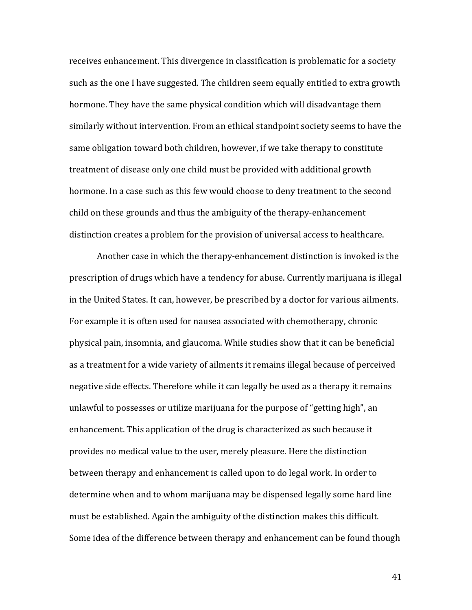receives enhancement. This divergence in classification is problematic for a society such as the one I have suggested. The children seem equally entitled to extra growth hormone. They have the same physical condition which will disadvantage them similarly without intervention. From an ethical standpoint society seems to have the same obligation toward both children, however, if we take therapy to constitute treatment of disease only one child must be provided with additional growth hormone. In a case such as this few would choose to deny treatment to the second child on these grounds and thus the ambiguity of the therapy-enhancement distinction creates a problem for the provision of universal access to healthcare.

 Another case in which the therapy-enhancement distinction is invoked is the prescription of drugs which have a tendency for abuse. Currently marijuana is illegal in the United States. It can, however, be prescribed by a doctor for various ailments. For example it is often used for nausea associated with chemotherapy, chronic physical pain, insomnia, and glaucoma. While studies show that it can be beneficial as a treatment for a wide variety of ailments it remains illegal because of perceived negative side effects. Therefore while it can legally be used as a therapy it remains unlawful to possesses or utilize marijuana for the purpose of "getting high", an enhancement. This application of the drug is characterized as such because it provides no medical value to the user, merely pleasure. Here the distinction between therapy and enhancement is called upon to do legal work. In order to determine when and to whom marijuana may be dispensed legally some hard line must be established. Again the ambiguity of the distinction makes this difficult. Some idea of the difference between therapy and enhancement can be found though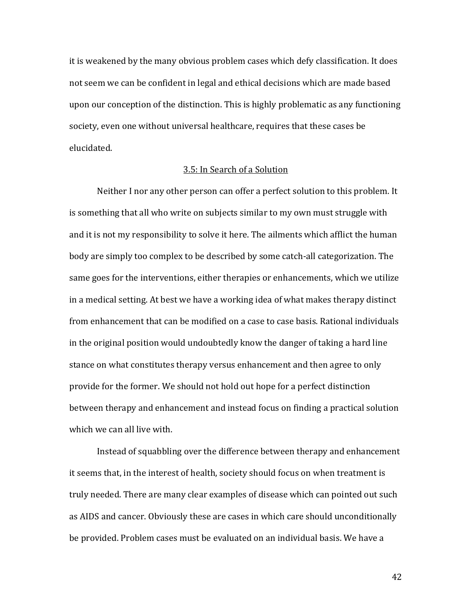it is weakened by the many obvious problem cases which defy classification. It does not seem we can be confident in legal and ethical decisions which are made based upon our conception of the distinction. This is highly problematic as any functioning society, even one without universal healthcare, requires that these cases be elucidated.

#### 3.5: In Search of a Solution

Neither I nor any other person can offer a perfect solution to this problem. It is something that all who write on subjects similar to my own must struggle with and it is not my responsibility to solve it here. The ailments which afflict the human body are simply too complex to be described by some catch-all categorization. The same goes for the interventions, either therapies or enhancements, which we utilize in a medical setting. At best we have a working idea of what makes therapy distinct from enhancement that can be modified on a case to case basis. Rational individuals in the original position would undoubtedly know the danger of taking a hard line stance on what constitutes therapy versus enhancement and then agree to only provide for the former. We should not hold out hope for a perfect distinction between therapy and enhancement and instead focus on finding a practical solution which we can all live with.

Instead of squabbling over the difference between therapy and enhancement it seems that, in the interest of health, society should focus on when treatment is truly needed. There are many clear examples of disease which can pointed out such as AIDS and cancer. Obviously these are cases in which care should unconditionally be provided. Problem cases must be evaluated on an individual basis. We have a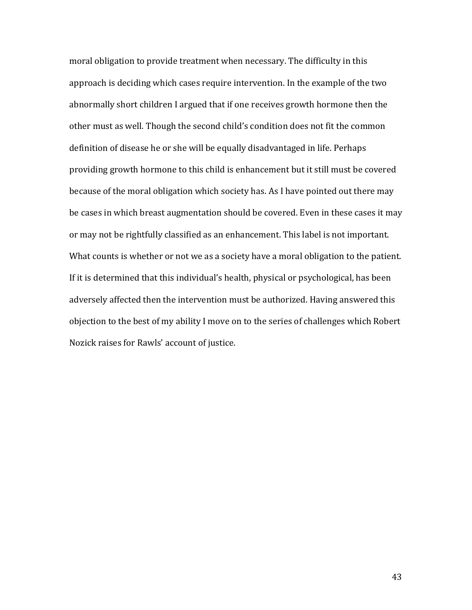moral obligation to provide treatment when necessary. The difficulty in this approach is deciding which cases require intervention. In the example of the two abnormally short children I argued that if one receives growth hormone then the other must as well. Though the second child's condition does not fit the common definition of disease he or she will be equally disadvantaged in life. Perhaps providing growth hormone to this child is enhancement but it still must be covered because of the moral obligation which society has. As I have pointed out there may be cases in which breast augmentation should be covered. Even in these cases it may or may not be rightfully classified as an enhancement. This label is not important. What counts is whether or not we as a society have a moral obligation to the patient. If it is determined that this individual's health, physical or psychological, has been adversely affected then the intervention must be authorized. Having answered this objection to the best of my ability I move on to the series of challenges which Robert Nozick raises for Rawls' account of justice.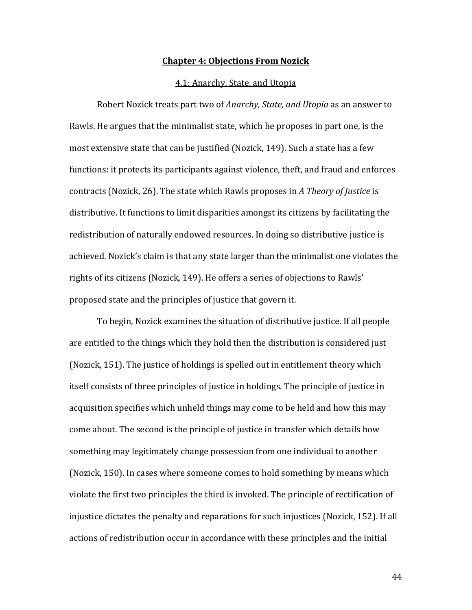#### Chapter 4: Objections From Nozick

#### 4.1: Anarchy, State, and Utopia

Robert Nozick treats part two of Anarchy, State, and Utopia as an answer to Rawls. He argues that the minimalist state, which he proposes in part one, is the most extensive state that can be justified (Nozick, 149). Such a state has a few functions: it protects its participants against violence, theft, and fraud and enforces contracts (Nozick, 26). The state which Rawls proposes in A Theory of Justice is distributive. It functions to limit disparities amongst its citizens by facilitating the redistribution of naturally endowed resources. In doing so distributive justice is achieved. Nozick's claim is that any state larger than the minimalist one violates the rights of its citizens (Nozick, 149). He offers a series of objections to Rawls' proposed state and the principles of justice that govern it.

 To begin, Nozick examines the situation of distributive justice. If all people are entitled to the things which they hold then the distribution is considered just (Nozick, 151). The justice of holdings is spelled out in entitlement theory which itself consists of three principles of justice in holdings. The principle of justice in acquisition specifies which unheld things may come to be held and how this may come about. The second is the principle of justice in transfer which details how something may legitimately change possession from one individual to another (Nozick, 150). In cases where someone comes to hold something by means which violate the first two principles the third is invoked. The principle of rectification of injustice dictates the penalty and reparations for such injustices (Nozick, 152). If all actions of redistribution occur in accordance with these principles and the initial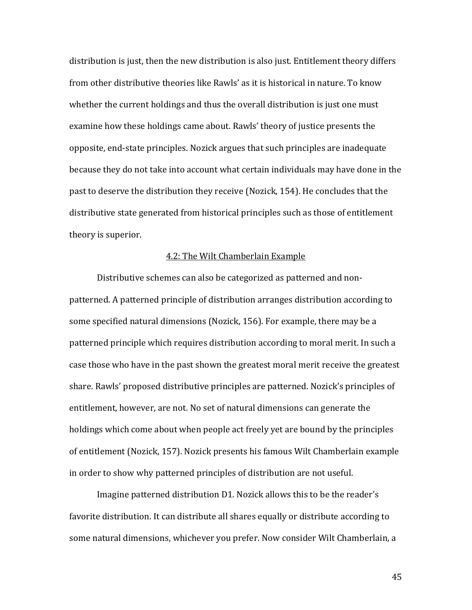distribution is just, then the new distribution is also just. Entitlement theory differs from other distributive theories like Rawls' as it is historical in nature. To know whether the current holdings and thus the overall distribution is just one must examine how these holdings came about. Rawls' theory of justice presents the opposite, end-state principles. Nozick argues that such principles are inadequate because they do not take into account what certain individuals may have done in the past to deserve the distribution they receive (Nozick, 154). He concludes that the distributive state generated from historical principles such as those of entitlement theory is superior.

#### 4.2: The Wilt Chamberlain Example

Distributive schemes can also be categorized as patterned and nonpatterned. A patterned principle of distribution arranges distribution according to some specified natural dimensions (Nozick, 156). For example, there may be a patterned principle which requires distribution according to moral merit. In such a case those who have in the past shown the greatest moral merit receive the greatest share. Rawls' proposed distributive principles are patterned. Nozick's principles of entitlement, however, are not. No set of natural dimensions can generate the holdings which come about when people act freely yet are bound by the principles of entitlement (Nozick, 157). Nozick presents his famous Wilt Chamberlain example in order to show why patterned principles of distribution are not useful.

 Imagine patterned distribution D1. Nozick allows this to be the reader's favorite distribution. It can distribute all shares equally or distribute according to some natural dimensions, whichever you prefer. Now consider Wilt Chamberlain, a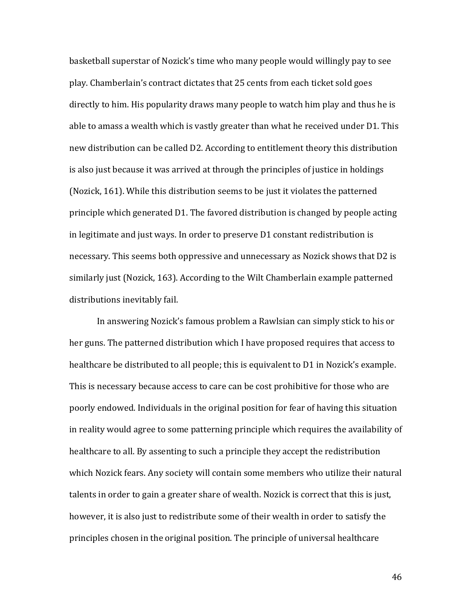basketball superstar of Nozick's time who many people would willingly pay to see play. Chamberlain's contract dictates that 25 cents from each ticket sold goes directly to him. His popularity draws many people to watch him play and thus he is able to amass a wealth which is vastly greater than what he received under D1. This new distribution can be called D2. According to entitlement theory this distribution is also just because it was arrived at through the principles of justice in holdings (Nozick, 161). While this distribution seems to be just it violates the patterned principle which generated D1. The favored distribution is changed by people acting in legitimate and just ways. In order to preserve D1 constant redistribution is necessary. This seems both oppressive and unnecessary as Nozick shows that D2 is similarly just (Nozick, 163). According to the Wilt Chamberlain example patterned distributions inevitably fail.

 In answering Nozick's famous problem a Rawlsian can simply stick to his or her guns. The patterned distribution which I have proposed requires that access to healthcare be distributed to all people; this is equivalent to D1 in Nozick's example. This is necessary because access to care can be cost prohibitive for those who are poorly endowed. Individuals in the original position for fear of having this situation in reality would agree to some patterning principle which requires the availability of healthcare to all. By assenting to such a principle they accept the redistribution which Nozick fears. Any society will contain some members who utilize their natural talents in order to gain a greater share of wealth. Nozick is correct that this is just, however, it is also just to redistribute some of their wealth in order to satisfy the principles chosen in the original position. The principle of universal healthcare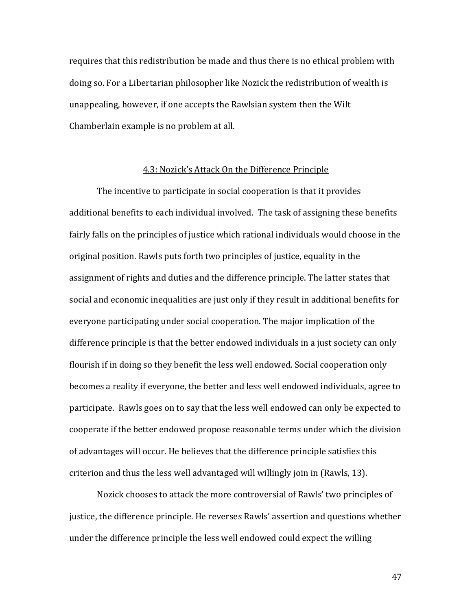requires that this redistribution be made and thus there is no ethical problem with doing so. For a Libertarian philosopher like Nozick the redistribution of wealth is unappealing, however, if one accepts the Rawlsian system then the Wilt Chamberlain example is no problem at all.

#### 4.3: Nozick's Attack On the Difference Principle

The incentive to participate in social cooperation is that it provides additional benefits to each individual involved. The task of assigning these benefits fairly falls on the principles of justice which rational individuals would choose in the original position. Rawls puts forth two principles of justice, equality in the assignment of rights and duties and the difference principle. The latter states that social and economic inequalities are just only if they result in additional benefits for everyone participating under social cooperation. The major implication of the difference principle is that the better endowed individuals in a just society can only flourish if in doing so they benefit the less well endowed. Social cooperation only becomes a reality if everyone, the better and less well endowed individuals, agree to participate. Rawls goes on to say that the less well endowed can only be expected to cooperate if the better endowed propose reasonable terms under which the division of advantages will occur. He believes that the difference principle satisfies this criterion and thus the less well advantaged will willingly join in (Rawls, 13).

 Nozick chooses to attack the more controversial of Rawls' two principles of justice, the difference principle. He reverses Rawls' assertion and questions whether under the difference principle the less well endowed could expect the willing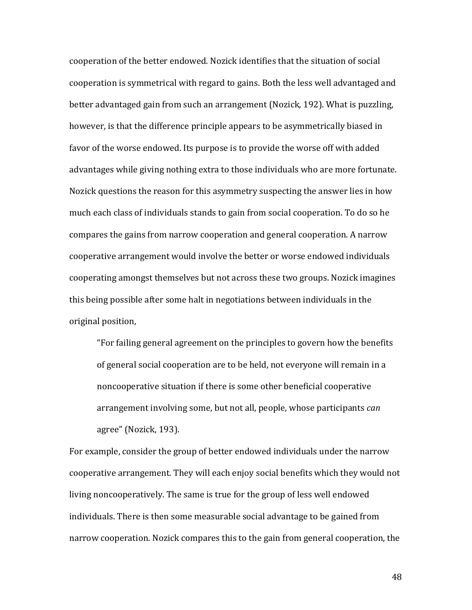cooperation of the better endowed. Nozick identifies that the situation of social cooperation is symmetrical with regard to gains. Both the less well advantaged and better advantaged gain from such an arrangement (Nozick, 192). What is puzzling, however, is that the difference principle appears to be asymmetrically biased in favor of the worse endowed. Its purpose is to provide the worse off with added advantages while giving nothing extra to those individuals who are more fortunate. Nozick questions the reason for this asymmetry suspecting the answer lies in how much each class of individuals stands to gain from social cooperation. To do so he compares the gains from narrow cooperation and general cooperation. A narrow cooperative arrangement would involve the better or worse endowed individuals cooperating amongst themselves but not across these two groups. Nozick imagines this being possible after some halt in negotiations between individuals in the original position,

"For failing general agreement on the principles to govern how the benefits of general social cooperation are to be held, not everyone will remain in a noncooperative situation if there is some other beneficial cooperative arrangement involving some, but not all, people, whose participants can agree" (Nozick, 193).

For example, consider the group of better endowed individuals under the narrow cooperative arrangement. They will each enjoy social benefits which they would not living noncooperatively. The same is true for the group of less well endowed individuals. There is then some measurable social advantage to be gained from narrow cooperation. Nozick compares this to the gain from general cooperation, the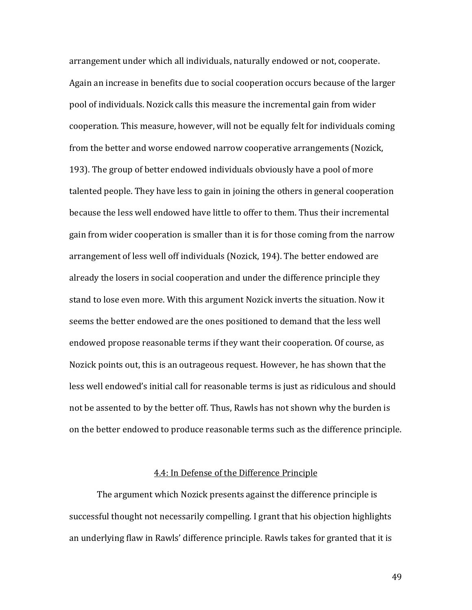arrangement under which all individuals, naturally endowed or not, cooperate. Again an increase in benefits due to social cooperation occurs because of the larger pool of individuals. Nozick calls this measure the incremental gain from wider cooperation. This measure, however, will not be equally felt for individuals coming from the better and worse endowed narrow cooperative arrangements (Nozick, 193). The group of better endowed individuals obviously have a pool of more talented people. They have less to gain in joining the others in general cooperation because the less well endowed have little to offer to them. Thus their incremental gain from wider cooperation is smaller than it is for those coming from the narrow arrangement of less well off individuals (Nozick, 194). The better endowed are already the losers in social cooperation and under the difference principle they stand to lose even more. With this argument Nozick inverts the situation. Now it seems the better endowed are the ones positioned to demand that the less well endowed propose reasonable terms if they want their cooperation. Of course, as Nozick points out, this is an outrageous request. However, he has shown that the less well endowed's initial call for reasonable terms is just as ridiculous and should not be assented to by the better off. Thus, Rawls has not shown why the burden is on the better endowed to produce reasonable terms such as the difference principle.

#### 4.4: In Defense of the Difference Principle

The argument which Nozick presents against the difference principle is successful thought not necessarily compelling. I grant that his objection highlights an underlying flaw in Rawls' difference principle. Rawls takes for granted that it is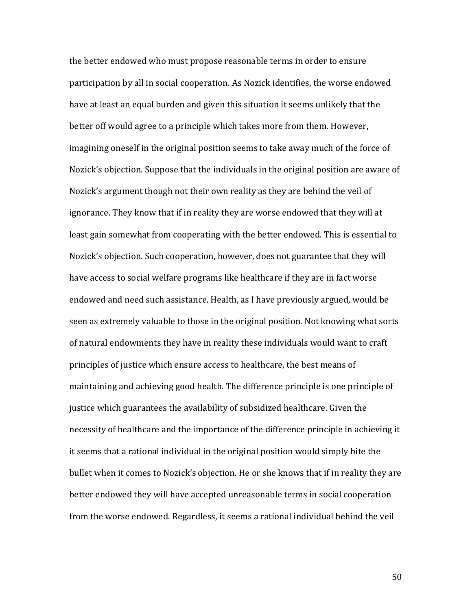the better endowed who must propose reasonable terms in order to ensure participation by all in social cooperation. As Nozick identifies, the worse endowed have at least an equal burden and given this situation it seems unlikely that the better off would agree to a principle which takes more from them. However, imagining oneself in the original position seems to take away much of the force of Nozick's objection. Suppose that the individuals in the original position are aware of Nozick's argument though not their own reality as they are behind the veil of ignorance. They know that if in reality they are worse endowed that they will at least gain somewhat from cooperating with the better endowed. This is essential to Nozick's objection. Such cooperation, however, does not guarantee that they will have access to social welfare programs like healthcare if they are in fact worse endowed and need such assistance. Health, as I have previously argued, would be seen as extremely valuable to those in the original position. Not knowing what sorts of natural endowments they have in reality these individuals would want to craft principles of justice which ensure access to healthcare, the best means of maintaining and achieving good health. The difference principle is one principle of justice which guarantees the availability of subsidized healthcare. Given the necessity of healthcare and the importance of the difference principle in achieving it it seems that a rational individual in the original position would simply bite the bullet when it comes to Nozick's objection. He or she knows that if in reality they are better endowed they will have accepted unreasonable terms in social cooperation from the worse endowed. Regardless, it seems a rational individual behind the veil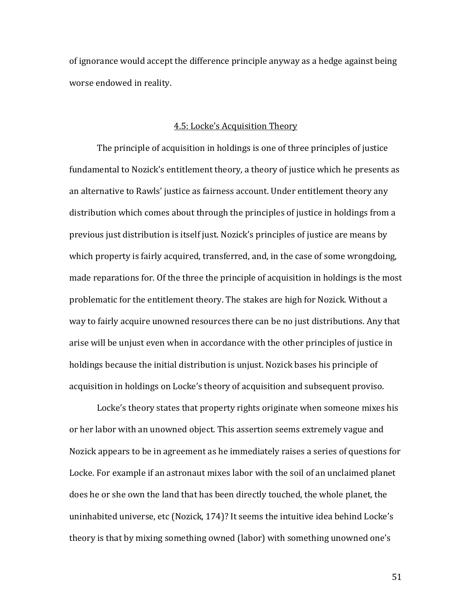of ignorance would accept the difference principle anyway as a hedge against being worse endowed in reality.

#### 4.5: Locke's Acquisition Theory

The principle of acquisition in holdings is one of three principles of justice fundamental to Nozick's entitlement theory, a theory of justice which he presents as an alternative to Rawls' justice as fairness account. Under entitlement theory any distribution which comes about through the principles of justice in holdings from a previous just distribution is itself just. Nozick's principles of justice are means by which property is fairly acquired, transferred, and, in the case of some wrongdoing, made reparations for. Of the three the principle of acquisition in holdings is the most problematic for the entitlement theory. The stakes are high for Nozick. Without a way to fairly acquire unowned resources there can be no just distributions. Any that arise will be unjust even when in accordance with the other principles of justice in holdings because the initial distribution is unjust. Nozick bases his principle of acquisition in holdings on Locke's theory of acquisition and subsequent proviso.

 Locke's theory states that property rights originate when someone mixes his or her labor with an unowned object. This assertion seems extremely vague and Nozick appears to be in agreement as he immediately raises a series of questions for Locke. For example if an astronaut mixes labor with the soil of an unclaimed planet does he or she own the land that has been directly touched, the whole planet, the uninhabited universe, etc (Nozick, 174)? It seems the intuitive idea behind Locke's theory is that by mixing something owned (labor) with something unowned one's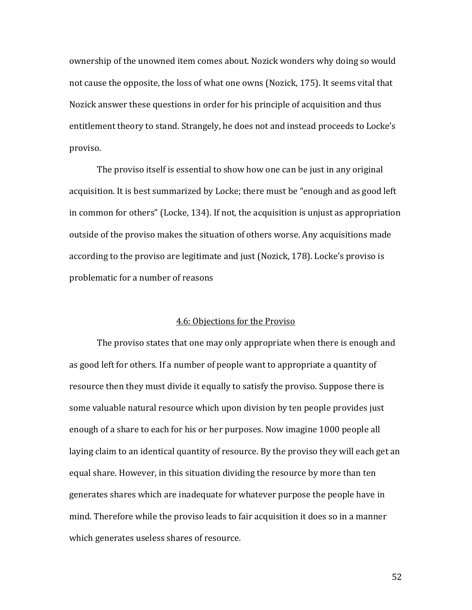ownership of the unowned item comes about. Nozick wonders why doing so would not cause the opposite, the loss of what one owns (Nozick, 175). It seems vital that Nozick answer these questions in order for his principle of acquisition and thus entitlement theory to stand. Strangely, he does not and instead proceeds to Locke's proviso.

 The proviso itself is essential to show how one can be just in any original acquisition. It is best summarized by Locke; there must be "enough and as good left in common for others" (Locke, 134). If not, the acquisition is unjust as appropriation outside of the proviso makes the situation of others worse. Any acquisitions made according to the proviso are legitimate and just (Nozick, 178). Locke's proviso is problematic for a number of reasons

#### 4.6: Objections for the Proviso

The proviso states that one may only appropriate when there is enough and as good left for others. If a number of people want to appropriate a quantity of resource then they must divide it equally to satisfy the proviso. Suppose there is some valuable natural resource which upon division by ten people provides just enough of a share to each for his or her purposes. Now imagine 1000 people all laying claim to an identical quantity of resource. By the proviso they will each get an equal share. However, in this situation dividing the resource by more than ten generates shares which are inadequate for whatever purpose the people have in mind. Therefore while the proviso leads to fair acquisition it does so in a manner which generates useless shares of resource.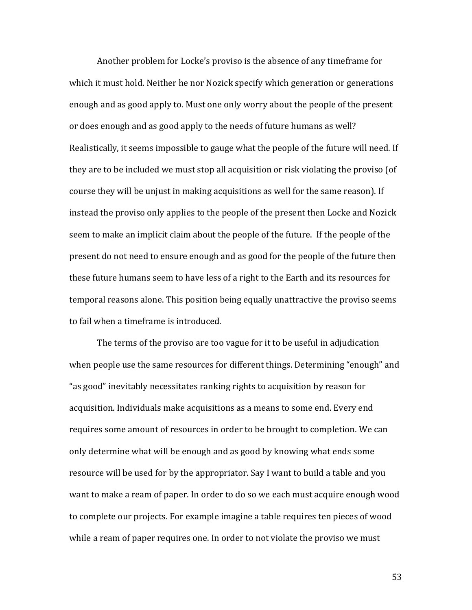Another problem for Locke's proviso is the absence of any timeframe for which it must hold. Neither he nor Nozick specify which generation or generations enough and as good apply to. Must one only worry about the people of the present or does enough and as good apply to the needs of future humans as well? Realistically, it seems impossible to gauge what the people of the future will need. If they are to be included we must stop all acquisition or risk violating the proviso (of course they will be unjust in making acquisitions as well for the same reason). If instead the proviso only applies to the people of the present then Locke and Nozick seem to make an implicit claim about the people of the future. If the people of the present do not need to ensure enough and as good for the people of the future then these future humans seem to have less of a right to the Earth and its resources for temporal reasons alone. This position being equally unattractive the proviso seems to fail when a timeframe is introduced.

The terms of the proviso are too vague for it to be useful in adjudication when people use the same resources for different things. Determining "enough" and "as good" inevitably necessitates ranking rights to acquisition by reason for acquisition. Individuals make acquisitions as a means to some end. Every end requires some amount of resources in order to be brought to completion. We can only determine what will be enough and as good by knowing what ends some resource will be used for by the appropriator. Say I want to build a table and you want to make a ream of paper. In order to do so we each must acquire enough wood to complete our projects. For example imagine a table requires ten pieces of wood while a ream of paper requires one. In order to not violate the proviso we must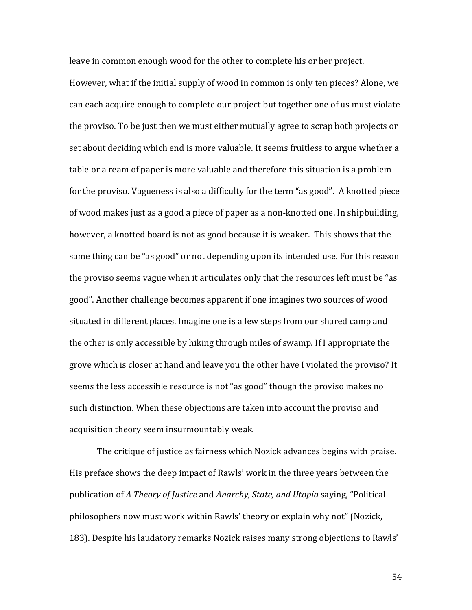leave in common enough wood for the other to complete his or her project.

However, what if the initial supply of wood in common is only ten pieces? Alone, we can each acquire enough to complete our project but together one of us must violate the proviso. To be just then we must either mutually agree to scrap both projects or set about deciding which end is more valuable. It seems fruitless to argue whether a table or a ream of paper is more valuable and therefore this situation is a problem for the proviso. Vagueness is also a difficulty for the term "as good". A knotted piece of wood makes just as a good a piece of paper as a non-knotted one. In shipbuilding, however, a knotted board is not as good because it is weaker. This shows that the same thing can be "as good" or not depending upon its intended use. For this reason the proviso seems vague when it articulates only that the resources left must be "as good". Another challenge becomes apparent if one imagines two sources of wood situated in different places. Imagine one is a few steps from our shared camp and the other is only accessible by hiking through miles of swamp. If I appropriate the grove which is closer at hand and leave you the other have I violated the proviso? It seems the less accessible resource is not "as good" though the proviso makes no such distinction. When these objections are taken into account the proviso and acquisition theory seem insurmountably weak.

The critique of justice as fairness which Nozick advances begins with praise. His preface shows the deep impact of Rawls' work in the three years between the publication of A Theory of Justice and Anarchy, State, and Utopia saying, "Political philosophers now must work within Rawls' theory or explain why not" (Nozick, 183). Despite his laudatory remarks Nozick raises many strong objections to Rawls'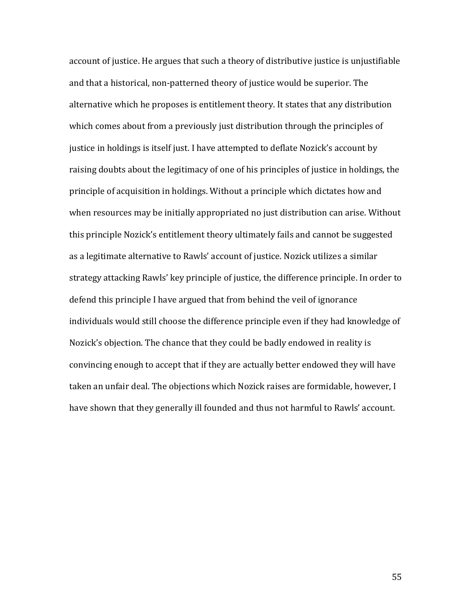account of justice. He argues that such a theory of distributive justice is unjustifiable and that a historical, non-patterned theory of justice would be superior. The alternative which he proposes is entitlement theory. It states that any distribution which comes about from a previously just distribution through the principles of justice in holdings is itself just. I have attempted to deflate Nozick's account by raising doubts about the legitimacy of one of his principles of justice in holdings, the principle of acquisition in holdings. Without a principle which dictates how and when resources may be initially appropriated no just distribution can arise. Without this principle Nozick's entitlement theory ultimately fails and cannot be suggested as a legitimate alternative to Rawls' account of justice. Nozick utilizes a similar strategy attacking Rawls' key principle of justice, the difference principle. In order to defend this principle I have argued that from behind the veil of ignorance individuals would still choose the difference principle even if they had knowledge of Nozick's objection. The chance that they could be badly endowed in reality is convincing enough to accept that if they are actually better endowed they will have taken an unfair deal. The objections which Nozick raises are formidable, however, I have shown that they generally ill founded and thus not harmful to Rawls' account.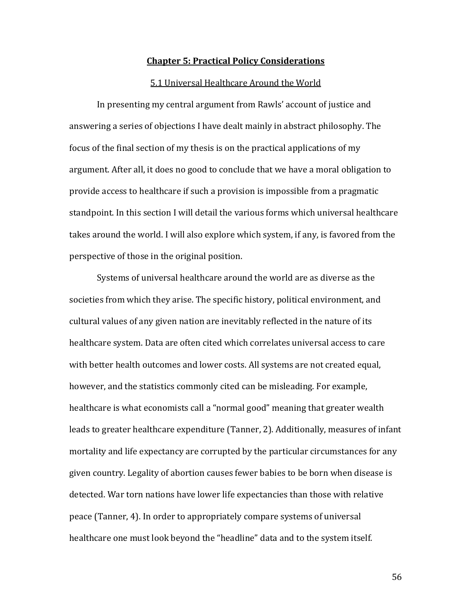#### Chapter 5: Practical Policy Considerations

#### 5.1 Universal Healthcare Around the World

In presenting my central argument from Rawls' account of justice and answering a series of objections I have dealt mainly in abstract philosophy. The focus of the final section of my thesis is on the practical applications of my argument. After all, it does no good to conclude that we have a moral obligation to provide access to healthcare if such a provision is impossible from a pragmatic standpoint. In this section I will detail the various forms which universal healthcare takes around the world. I will also explore which system, if any, is favored from the perspective of those in the original position.

Systems of universal healthcare around the world are as diverse as the societies from which they arise. The specific history, political environment, and cultural values of any given nation are inevitably reflected in the nature of its healthcare system. Data are often cited which correlates universal access to care with better health outcomes and lower costs. All systems are not created equal, however, and the statistics commonly cited can be misleading. For example, healthcare is what economists call a "normal good" meaning that greater wealth leads to greater healthcare expenditure (Tanner, 2). Additionally, measures of infant mortality and life expectancy are corrupted by the particular circumstances for any given country. Legality of abortion causes fewer babies to be born when disease is detected. War torn nations have lower life expectancies than those with relative peace (Tanner, 4). In order to appropriately compare systems of universal healthcare one must look beyond the "headline" data and to the system itself.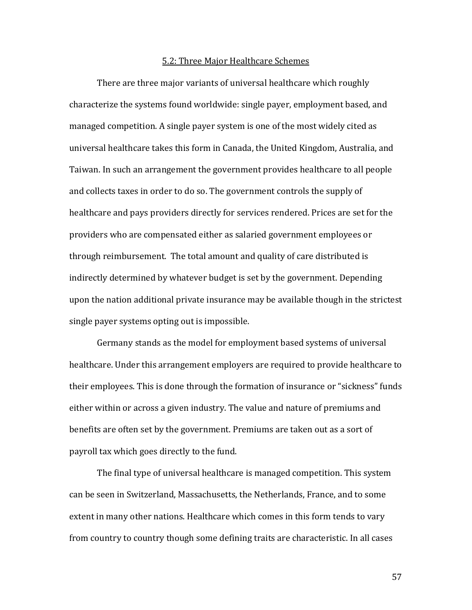#### 5.2: Three Major Healthcare Schemes

There are three major variants of universal healthcare which roughly characterize the systems found worldwide: single payer, employment based, and managed competition. A single payer system is one of the most widely cited as universal healthcare takes this form in Canada, the United Kingdom, Australia, and Taiwan. In such an arrangement the government provides healthcare to all people and collects taxes in order to do so. The government controls the supply of healthcare and pays providers directly for services rendered. Prices are set for the providers who are compensated either as salaried government employees or through reimbursement. The total amount and quality of care distributed is indirectly determined by whatever budget is set by the government. Depending upon the nation additional private insurance may be available though in the strictest single payer systems opting out is impossible.

 Germany stands as the model for employment based systems of universal healthcare. Under this arrangement employers are required to provide healthcare to their employees. This is done through the formation of insurance or "sickness" funds either within or across a given industry. The value and nature of premiums and benefits are often set by the government. Premiums are taken out as a sort of payroll tax which goes directly to the fund.

 The final type of universal healthcare is managed competition. This system can be seen in Switzerland, Massachusetts, the Netherlands, France, and to some extent in many other nations. Healthcare which comes in this form tends to vary from country to country though some defining traits are characteristic. In all cases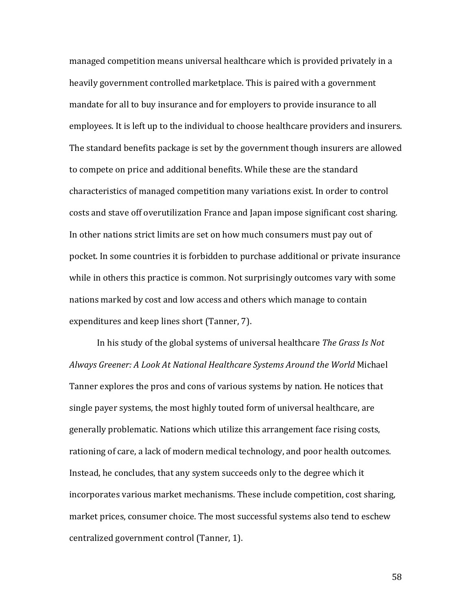managed competition means universal healthcare which is provided privately in a heavily government controlled marketplace. This is paired with a government mandate for all to buy insurance and for employers to provide insurance to all employees. It is left up to the individual to choose healthcare providers and insurers. The standard benefits package is set by the government though insurers are allowed to compete on price and additional benefits. While these are the standard characteristics of managed competition many variations exist. In order to control costs and stave off overutilization France and Japan impose significant cost sharing. In other nations strict limits are set on how much consumers must pay out of pocket. In some countries it is forbidden to purchase additional or private insurance while in others this practice is common. Not surprisingly outcomes vary with some nations marked by cost and low access and others which manage to contain expenditures and keep lines short (Tanner, 7).

 In his study of the global systems of universal healthcare The Grass Is Not Always Greener: A Look At National Healthcare Systems Around the World Michael Tanner explores the pros and cons of various systems by nation. He notices that single payer systems, the most highly touted form of universal healthcare, are generally problematic. Nations which utilize this arrangement face rising costs, rationing of care, a lack of modern medical technology, and poor health outcomes. Instead, he concludes, that any system succeeds only to the degree which it incorporates various market mechanisms. These include competition, cost sharing, market prices, consumer choice. The most successful systems also tend to eschew centralized government control (Tanner, 1).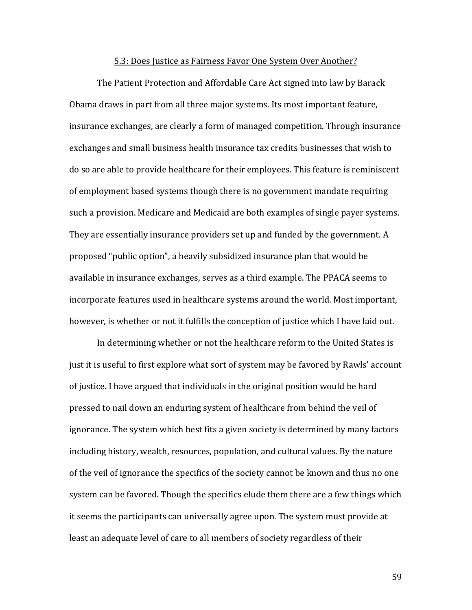#### 5.3: Does Justice as Fairness Favor One System Over Another?

The Patient Protection and Affordable Care Act signed into law by Barack Obama draws in part from all three major systems. Its most important feature, insurance exchanges, are clearly a form of managed competition. Through insurance exchanges and small business health insurance tax credits businesses that wish to do so are able to provide healthcare for their employees. This feature is reminiscent of employment based systems though there is no government mandate requiring such a provision. Medicare and Medicaid are both examples of single payer systems. They are essentially insurance providers set up and funded by the government. A proposed "public option", a heavily subsidized insurance plan that would be available in insurance exchanges, serves as a third example. The PPACA seems to incorporate features used in healthcare systems around the world. Most important, however, is whether or not it fulfills the conception of justice which I have laid out.

 In determining whether or not the healthcare reform to the United States is just it is useful to first explore what sort of system may be favored by Rawls' account of justice. I have argued that individuals in the original position would be hard pressed to nail down an enduring system of healthcare from behind the veil of ignorance. The system which best fits a given society is determined by many factors including history, wealth, resources, population, and cultural values. By the nature of the veil of ignorance the specifics of the society cannot be known and thus no one system can be favored. Though the specifics elude them there are a few things which it seems the participants can universally agree upon. The system must provide at least an adequate level of care to all members of society regardless of their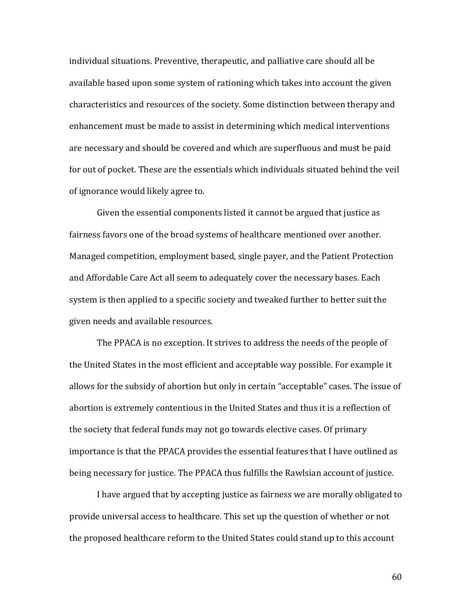individual situations. Preventive, therapeutic, and palliative care should all be available based upon some system of rationing which takes into account the given characteristics and resources of the society. Some distinction between therapy and enhancement must be made to assist in determining which medical interventions are necessary and should be covered and which are superfluous and must be paid for out of pocket. These are the essentials which individuals situated behind the veil of ignorance would likely agree to.

 Given the essential components listed it cannot be argued that justice as fairness favors one of the broad systems of healthcare mentioned over another. Managed competition, employment based, single payer, and the Patient Protection and Affordable Care Act all seem to adequately cover the necessary bases. Each system is then applied to a specific society and tweaked further to better suit the given needs and available resources.

 The PPACA is no exception. It strives to address the needs of the people of the United States in the most efficient and acceptable way possible. For example it allows for the subsidy of abortion but only in certain "acceptable" cases. The issue of abortion is extremely contentious in the United States and thus it is a reflection of the society that federal funds may not go towards elective cases. Of primary importance is that the PPACA provides the essential features that I have outlined as being necessary for justice. The PPACA thus fulfills the Rawlsian account of justice.

 I have argued that by accepting justice as fairness we are morally obligated to provide universal access to healthcare. This set up the question of whether or not the proposed healthcare reform to the United States could stand up to this account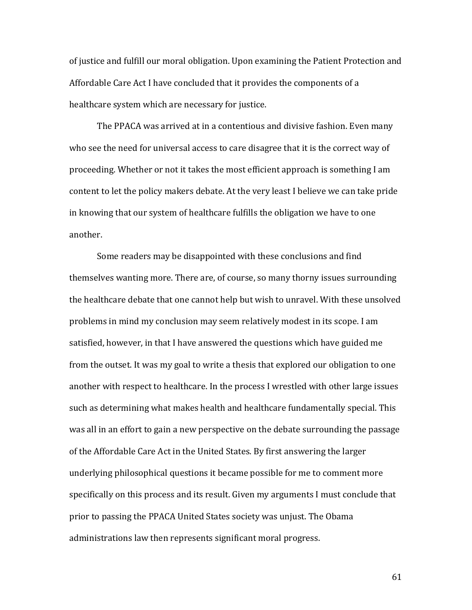of justice and fulfill our moral obligation. Upon examining the Patient Protection and Affordable Care Act I have concluded that it provides the components of a healthcare system which are necessary for justice.

The PPACA was arrived at in a contentious and divisive fashion. Even many who see the need for universal access to care disagree that it is the correct way of proceeding. Whether or not it takes the most efficient approach is something I am content to let the policy makers debate. At the very least I believe we can take pride in knowing that our system of healthcare fulfills the obligation we have to one another.

Some readers may be disappointed with these conclusions and find themselves wanting more. There are, of course, so many thorny issues surrounding the healthcare debate that one cannot help but wish to unravel. With these unsolved problems in mind my conclusion may seem relatively modest in its scope. I am satisfied, however, in that I have answered the questions which have guided me from the outset. It was my goal to write a thesis that explored our obligation to one another with respect to healthcare. In the process I wrestled with other large issues such as determining what makes health and healthcare fundamentally special. This was all in an effort to gain a new perspective on the debate surrounding the passage of the Affordable Care Act in the United States. By first answering the larger underlying philosophical questions it became possible for me to comment more specifically on this process and its result. Given my arguments I must conclude that prior to passing the PPACA United States society was unjust. The Obama administrations law then represents significant moral progress.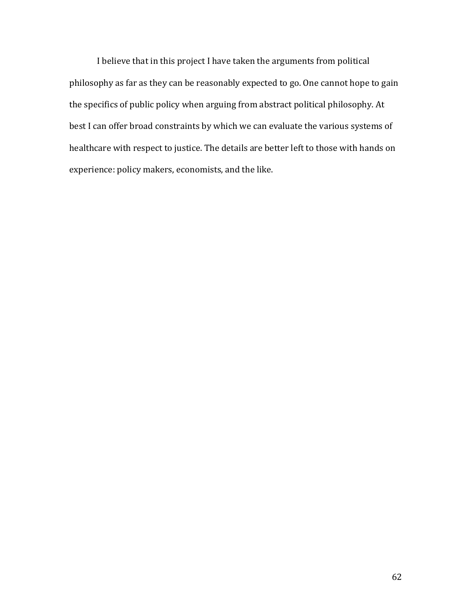I believe that in this project I have taken the arguments from political philosophy as far as they can be reasonably expected to go. One cannot hope to gain the specifics of public policy when arguing from abstract political philosophy. At best I can offer broad constraints by which we can evaluate the various systems of healthcare with respect to justice. The details are better left to those with hands on experience: policy makers, economists, and the like.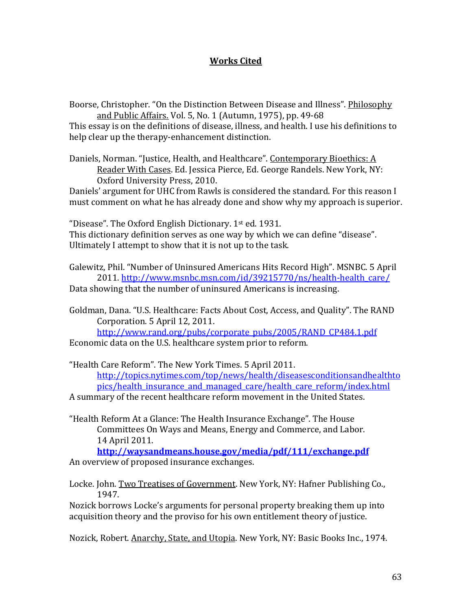## Works Cited

Boorse, Christopher. "On the Distinction Between Disease and Illness". Philosophy and Public Affairs. Vol. 5, No. 1 (Autumn, 1975), pp. 49-68

This essay is on the definitions of disease, illness, and health. I use his definitions to help clear up the therapy-enhancement distinction.

Daniels, Norman. "Justice, Health, and Healthcare". Contemporary Bioethics: A Reader With Cases. Ed. Jessica Pierce, Ed. George Randels. New York, NY: Oxford University Press, 2010.

Daniels' argument for UHC from Rawls is considered the standard. For this reason I must comment on what he has already done and show why my approach is superior.

"Disease". The Oxford English Dictionary. 1st ed. 1931. This dictionary definition serves as one way by which we can define "disease". Ultimately I attempt to show that it is not up to the task.

Galewitz, Phil. "Number of Uninsured Americans Hits Record High". MSNBC. 5 April 2011. http://www.msnbc.msn.com/id/39215770/ns/health-health\_care/ Data showing that the number of uninsured Americans is increasing.

Goldman, Dana. "U.S. Healthcare: Facts About Cost, Access, and Quality". The RAND Corporation. 5 April 12, 2011.

http://www.rand.org/pubs/corporate\_pubs/2005/RAND\_CP484.1.pdf Economic data on the U.S. healthcare system prior to reform.

"Health Care Reform". The New York Times. 5 April 2011. http://topics.nytimes.com/top/news/health/diseasesconditionsandhealthto pics/health\_insurance\_and\_managed\_care/health\_care\_reform/index.html

A summary of the recent healthcare reform movement in the United States.

"Health Reform At a Glance: The Health Insurance Exchange". The House Committees On Ways and Means, Energy and Commerce, and Labor. 14 April 2011.

http://waysandmeans.house.gov/media/pdf/111/exchange.pdf An overview of proposed insurance exchanges.

Locke. John. Two Treatises of Government. New York, NY: Hafner Publishing Co., 1947.

Nozick borrows Locke's arguments for personal property breaking them up into acquisition theory and the proviso for his own entitlement theory of justice.

Nozick, Robert. Anarchy, State, and Utopia. New York, NY: Basic Books Inc., 1974.